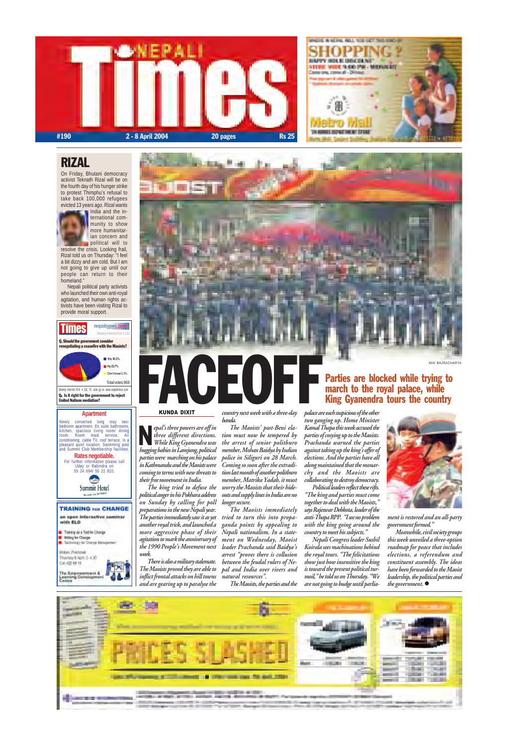



Weekly Internet Poll # 131. To vote go to: www.nepalitimes.com Q. Is it right for the government to reject . United Nations mediation?





#### Q. Should the government consider renegotiating a ceasefire with the Maoists?

For further information please call Uday or Rabindra on 55 24 694/ 55 21 810. of t Summit Hotel



#### **Apartment**

Newly converted long stay two-bedroom apartment. En suite bathrooms, kitchen, spacious living room/ dining room. Room maid service, Air conditioning, cable TV, roof terrace, in a pleasant quiet location. Swimming pool and Summit Club Membership facilities. **Rates negotiable.**

#### RIZAL

On Friday, Bhutani democracy activist Teknath Rizal will be on the fourth day of his hunger strike to protest Thimphu's refusal to take back 100,000 refugees evicted 13 years ago. Rizal wants



India and the international community to show more humanitarian concern and political will to

resolve the crisis. Looking frail, Rizal told us on Thursday: "I feel a bit dizzy and am cold. But I am not going to give up until our people can return to their homeland."

 Nepali political party activists who launched their own anti-royal agitation, and human rights activists have been visiting Rizal to provide moral support.

> palace are each suspicious of the other two ganging up. Home Minister Kamal Thapa this week accused the parties of cosying up to the Maoists. Prachanda warned the parties against taking up the king's offer of elections. And the parties have all along maintained that the monarchy and the Maoists are collaborating to destroy democracy. Political leaders reflect these rifts.

epal's three powers are off in three different directions. While King Gyanendra was epal's three powers are off in<br>three different directions.<br>While King Gyanendra was<br>hugging babies in Lamjung, political parties were marching on his palace in Kathmandu and the Maoists were coming to terms with new threats to their free movement in India.

The king tried to defuse the political anger in his Pokhara address on Sunday by calling for poll preparations in the new Nepali year. The parties immediately saw it as yet another royal trick, and launched a more aggressive phase of their agitation to mark the anniversary of the 1990 People's Movement next

Meanwhile, civil society groups this week unveiled a three-option roadmap for peace that includes elections, a referendum and constituent assembly. The ideas have been forwarded to the Maoist leadership, the political parties and the government.  $\bullet$ 





There is also a military stalemate. The Maoists proved they are able to inflict frontal attacks on hill towns and are gearing up to paralyse the

country next week with a three-day banda.

The Maoists' post-Beni elation must now be tempered by the arrest of senior politburo member, Mohan Baidya by Indian police in Siliguri on 28 March. Coming so soon after the extradition last month of another politburo member, Matrika Yadab, it must worry the Maoists that their hideouts and supply lines in India are no longer secure.

The Maoists immediately tried to turn this into propaganda points by appealing to Nepali nationalism. In a statement on Wednesday, Maoist leader Prachanda said Baidya's arrest "proves there is collusion between the feudal rulers of Nepal and India over rivers and natural resources".

The Maoists, the parties and the

"The king and parties must come together to deal with the Maoists," says Rajeswar Debkota, leader of the



anti-Thapa RPP. "I see no problem with the king going around the country to meet his subjects."

Nepali Congress leader Sushil Koirala sees machinations behind the royal tours. "The felicitations show just how insensitive the king is toward the present political turmoil," he told us on Thursday. "We are not going to budge until parlia-

#### KUNDA DIXIT

ment is restored and an all-party government formed."

#### Parties are blocked while trying to march to the royal palace, while King Gyanendra tours the country

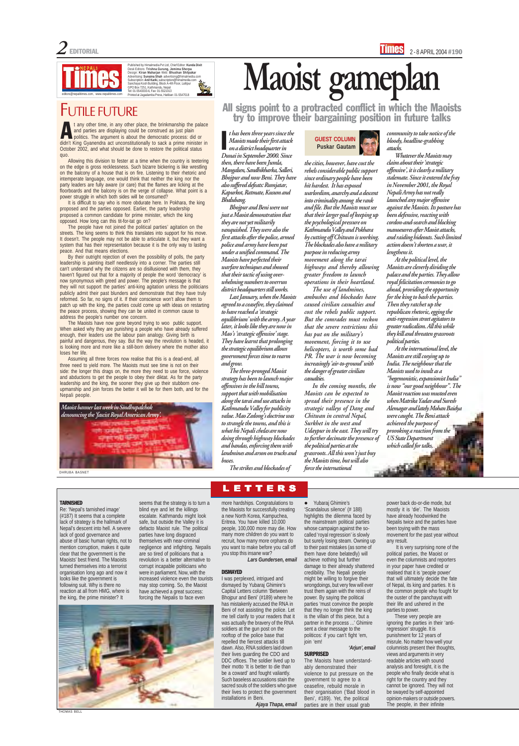Published by Himalmedia Pvt Ltd, Chief Editor: Kunda Dixit<br>Desk Editors: Trishna Gurung, Jemima Sherpa<br>Design: Kiran Maharjan Web: Bhushan Shilpakar<br>Advertising: Sunatina Shah advertising@himalmedia.com<br>Subscription: Anil Printed at Jagadamba Press, Hatiban: 01-5547018



#### TARNISHED

Re: 'Nepal's tarnished image'

(#187) It seems that a complete lack of strategy is the hallmark of Nepal's descent into hell. A severe lack of good governance and abuse of basic human rights, not to mention corruption, makes it quite clear that the government is the Maoists' best friend. The Maoists turned themselves into a terrorist organisation long ago and now it looks like the government is following suit. Why is there no reaction at all from HMG, where is the king, the prime minister? It



seems that the strategy is to turn a blind eye and let the killings escalate. Kathmandu might look safe, but outside the Valley it is defacto Maoist rule. The political parties have long disgraced themselves with near-criminal negligence and infighting. Nepalis are so tired of politicians that a revolution is a better alternative to corrupt incapable politicians who were in parliament. Now, with the increased violence even the tourists may stop coming. So, the Maoist have achieved a great success: forcing the Nepalis to face even

**I**<br>I Maoists made their first attack on a district headquarter in Dunai in September 2000. Since then, there have been Jumla, Mangalsen, Sandhikharka, Salleri, Bhojpur and now Beni. They have also suffered defeats: Rumjatar, Kapurkot, Ratmate, Kusum and Bhalubang.

more hardships. Congratulations to the Maoists for successfully creating

**LETTERS** 

a new North Korea, Kampuchea, Eritrea. You have killed 10,000 people, 100,000 more may die. How many more children do you want to recruit, how many more orphans do you want to make before you call off you stop this insane war?

**Lars Gundersen, email**

#### **DISMAYED**

I was perplexed, intrigued and dismayed by Yubaraj Ghimire's Capital Letters column 'Between Bhojpur and Beni' (#189) where he has mistakenly accused the RNA in Beni of not assisting the police. Let me tell clarify to your readers that it was actually the bravery of the RNA soldiers at the gun post on the rooftop of the police base that repelled the fiercest attacks till dawn. Also, RNA soldiers laid down their lives guarding the CDO and DDC offices. The soldier lived up to their motto 'It is better to die than be a coward' and fought valiantly. Such baseless accusations stain the sacred souls of the soldiers who gave their lives to protect the government installations in Beni. **Ajaya Thapa, email**

Bhojpur and Beni were not just a Maoist demonstration that they are not yet militarily vanquished. They were also the first attacks after the police, armed police and army have been put under a unified command. The Maoists have perfected their warfare techniques and showed that their tactic of using overwhelming numbers to overrun district headquarters still works.

> • Yubaraj Ghimire's 'Scandalous silence' (# 188)

Last January, when the Maoists agreed to a ceasefire, they claimed to have reached a 'strategic equilibrium' with the army. A year later, it looks like they are now in Mao's 'strategic offensive' stage. They have learnt that prolonging the strategic equilibrium allows government forces time to rearm and grow.

> highlights the dilemma faced by the mainstream political parties whose campaign against the socalled 'royal regression' is slowly but surely losing steam. Owning up to their past mistakes (as some of them have done belatedly) will achieve nothing but further damage to their already shattered credibility. The Nepali people might be willing to forgive their wrongdoings, but very few will ever trust them again with the reins of power. By saying the political parties 'must convince the people that they no longer think the king is the villain of this piece, but a partner in the process ...' Ghimire sent a clear message to the politicos: if you can't fight 'em, join 'em!

The three-pronged Maoist strategy has been to launch major offensives in the hill towns, support that with mobilisation along the tarai and use attacks in Kathmandu Valley for publicity value. Mao Zedong's doctrine was to strangle the towns, and this is what his Nepali chelas are now doing through highway blockades and bandas, enforcing them with landmines and arson on trucks and buses.

The strikes and blockades of

# **Maoist gameplan**

FUTILE FUTURE<br>
try to improve their bargaining position in future talks

#### **GUEST COLUMN Puskar Gautam**

It is very surprising none of the political parties, the Maoist or even the columnists and reporters in your paper have credited or realised that it is 'people power' that will ultimately decide the fate of Nepal, its king and parties. It is the common people who fought for the ouster of the panchayat with their life and ushered in the parties to power.

the cities, however, have cost the rebels considerable public support since ordinary people have been hit hardest. It has exposed warlordism, anarchy and a descent into criminality among the rank and file. But the Maoists must see that their larger goal of keeping up the psychological pressure on Kathmandu Valley and Pokhara by cutting off Chitwan is working. The blockades also have a military purpose in reducing army movement along the tarai highways and thereby allowing greater freedom to launch operations in their heartland.

 $\sum_{n=1}^{\infty}$  t any other time, in any other place, the brinkmanship the palace<br>and parties are displaying could be construed as just plain<br>politics. The argument is about the democratic process: did or<br>didn't kine (Mani t any other time, in any other place, the brinkmanship the palace and parties are displaying could be construed as just plain politics. The argument is about the democratic process: did or didn't King Gyanendra act unconstitutionally to sack a prime minister in October 2002, and what should be done to restore the political status quo.

> The use of landmines, ambushes and blockades have caused civilian casualties and cost the rebels public support. But the comrades must reckon that the severe restrictions this has put on the military's movement, forcing it to use helicopters, is worth some bad PR. The war is now becoming increasingly 'air-to-ground' with the danger of greater civilian casualties.

In the coming months, the Maoists can be expected to spread their presence in the strategic valleys of Dang and Chitwan in central Nepal, Surkhet in the west and Udaypur in the east. They will try to further decimate the presence of the political parties at the grassroots. All this won't just buy the Maoists time, but will also force the international

community to take notice of the bloody, headline-grabbing attacks.

The Maoists have now gone beyond trying to woo public support. When asked why they are punishing a people who have already suffered enough, their leaders use the labour pain analogy. Giving birth is painful and dangerous, they say. But the way the revolution is headed, it is looking more and more like a still-born delivery where the mother also loses her life.

Whatever the Maoists may claim about their 'strategic offensive', it is clearly a military stalemate. Since it entered the fray in November 2001, the Royal Nepali Army has not really launched any major offensive against the Maoists. Its posture has been defensive, reacting with cordon-and-search and blocking manoeuvres after Maoist attacks, and raiding hideouts. Such limited action doesn't shorten a war, it lengthens it.

At the political level, the Maoists are cleverly dividing the palace and the parties. They allow royal felicitation cermonies to go ahead, providing the opportunity for the king to bash the parties. Then they ratchet up the republican rhetoric, egging the anti-regression street agitators to greater radicalism. All this while they kill and threaten grassroots political parties.

At the international level, the Maoists are still cosying up to India. The neighbour that the Maoists used to insult as a "hegemonistic, expansionist India" is now "our good neighbour". The Maoist reaction was musted even when Matrika Yadav and Suresh Alemagar and lately Mohan Baidya were caught. The Beni attack achieved the purpose of provoking a reaction from the US State Department which called for talks,

#### **'Arjun', email**

#### **SURPRISED**

The Maoists have understandably demonstrated their violence to put pressure on the government to agree to a ceasefire, rebuild morale in their organisation ('Bad blood in Beni', #189). Yet, the political parties are in their usual grab

power back do-or-die mode, but mostly it is 'die'. The Maoists

 $-0.06$ 

have already hoodwinked the Nepalis twice and the parties have been toying with the mass movement for the past year without any result.

These very people are ignoring the parties in their 'antiregression' struggle. It is punishment for 12 years of misrule. No matter how well your columnists present their thoughts, views and arguments in very readable articles with sound analysis and foresight, it is the people who finally decide what is right for the country and they cannot be ignored. They will not be swayed by self-appointed opinion-makers or outside powers. The people, in their infinite

Allowing this division to fester at a time when the country is teetering on the edge is gross recklessness. Such bizarre bickering is like wrestling on the balcony of a house that is on fire. Listening to their rhetoric and intemperate language, one would think that neither the king nor the party leaders are fully aware (or care) that the flames are licking at the floorboards and the balcony is on the verge of collapse. What point is a power struggle in which both sides will be consumed?

It is difficult to say who is more obdurate here. In Pokhara, the king proposed and the parties opposed. Earlier, the party leadership proposed a common candidate for prime minister, which the king opposed. How long can this tit-for-tat go on?

The people have not joined the political parties' agitation on the streets. The king seems to think this translates into support for his move. It doesn't. The people may not be able to articulate it, but they want a system that has their representation because it is the only way to lasting peace. And that means elections.

By their outright rejection of even the possibility of polls, the party leadership is painting itself needlessly into a corner. The parties still can't understand why the citizens are so disillusioned with them, they haven't figured out that for a majority of people the word 'democracy' is now synonymous with greed and power. The people's message is that they will not support the parties' anti-king agitation unless the politicians publicly admit their past blunders and demonstrate that they have truly reformed. So far, no signs of it. If their conscience won't allow them to patch up with the king, the parties could come up with ideas on restarting the peace process, showing they can be united in common cause to address the people's number one concern.

Assuming all three forces now realise that this is a dead-end, all three need to yield more. The Maoists must see time is not on their side: the longer this drags on, the more they need to use force, violence and abductions to get the people to obey their diktat. As for the party leadership and the king, the sooner they give up their stubborn oneupmanship and join forces the better it will be for them both, and for the Nepali people.

THOMAS BELL



DHRUBA BASNET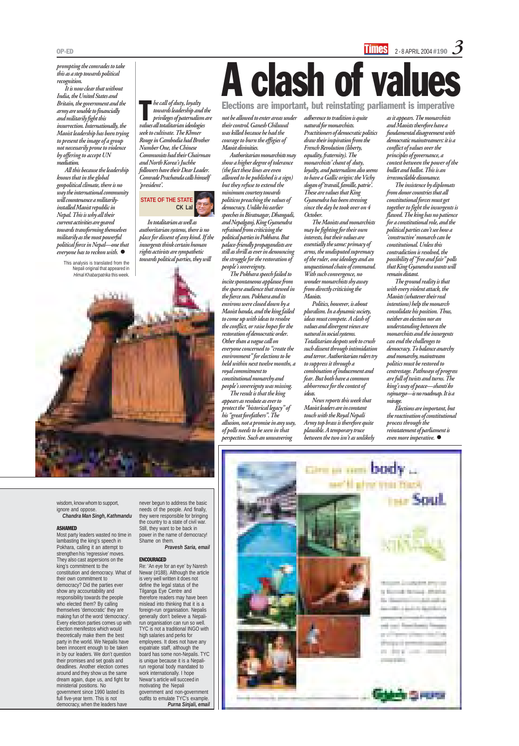#### OP-ED 2-8 APRIL 2004 #190  $\mathcal S$

prompting the comrades to take this as a step towards political recognition.

All this because the leadership knows that in the global geopolitical climate, there is no way the international community will countenance a militarilyinstalled Maoist republic in Nepal. This is why all their current activities are geared towards transforming themselves militarily as the most powerful political force in Nepal—one that everyone has to reckon with.  $\bullet$ 

It is now clear that without India, the United States and Britain, the government and the army are unable to financially and militarily fight this insurrection. Internationally, the Maoist leadership has been trying to present the image of a group not necessarily prone to violence by offering to accept UN mediation.

 $\blacksquare$  he call of duty, loyalty towards leadership and the privileges of paternalism are values all totalitarian ideologies seek to cultivate. The Khmer Rouge in Cambodia had Brother Number One, the Chinese Communists had their Chairman and North Korea's Juchhe followers have their Dear Leader. Comrade Prachanda calls himself 'president'.

This analysis is translated from the Nepali original that appeared in Himal Khabarpatrika this week.

In totalitarian as well as authoritarian systems, there is no place for dissent of any kind. If the insurgents think certain human rights activists are sympathetic towards political parties, they will



not be allowed to enter areas under their control. Ganesh Chiluwal was killed because he had the courage to burn the effigies of Maoist divinities.

> The Maoists and monarchists may be fighting for their own interests, but their values are essentially the same: primacy of arms, the undisputed supremacy of the ruler, one ideology and an unquestioned chain of command. With such convergence, no wonder monarchists shy away from directly criticising the Maoists.

Authoritarian monarchists may show a higher degree of tolerance (the fact these lines are even allowed to be published is a sign) but they refuse to extend the minimum courtesy towards politicos preaching the values of democracy. Unlike his earlier speeches in Biratnagar, Dhangadi, and Nepalganj, King Gyanendra refrained from criticising the political parties in Pokhara. But palace-friendly propagandists are still as shrill as ever in denouncing the struggle for the restoration of people's sovereignty.

The Pokhara speech failed to incite spontaneous applause from the sparse audience that stewed in the fierce sun. Pokhara and its environs were closed down by a Maoist banda, and the king failed to come up with ideas to resolve the conflict, or raise hopes for the restoration of democratic order. Other than a vague call on everyone concerned to "create the environment" for elections to be held within next twelve months, a royal commitment to constitutional monarchy and

people's sovereignty was missing.

Elections are important, but the reactivation of constitutional process through the reinstatement of parliament is even more imperative.  $\bullet$ 



The result is that the king appears as resolute as ever to protect the "historical legacy" of his "great forefathers". The allusion, not a promise in any way, of polls needs to be seen in that perspective. Such an unwavering

adherence to tradition is quite natural for monarchists. Practitioners of democratic politics draw their inspiration from the French Revolution (liberty, equality, fraternity). The monarchists' chant of duty, loyalty, and paternalism also seems to have a Gallic origin: the Vichy slogan of 'travail, famille, patrie'. These are values that King Gyanendra has been stressing since the day he took over on 4 October.

Politics, however, is about pluralism. In a dynamic society, ideas must compete. A clash of values and divergent views are natural in social systems. Totalitarian despots seek to crush such dissent through intimidation and terror. Authoritarian rulers try to suppress it through a combination of inducement and fear. But both have a common abhorrence for the contest of ideas.

News reports this week that Maoist leaders are in constant touch with the Royal Nepali Army top brass is therefore quite plausible. A temporary truce between the two isn't as unlikely

# A clash of values

Elections are important, but reinstating parliament is imperative



as it appears. The monarchists and Maoists therefore have a fundamental disagreement with democratic mainstreamers: it is a conflict of values over the principles of governance, a contest between the power of the bullet and ballot. This is an irreconcilable dissonance.

The insistence by diplomats from donor countries that all constitutional forces must get together to fight the insurgents is flawed. The king has no patience for a constitutional role, and the political parties can't see how a 'constructive' monarch can be constitutional. Unless this contradiction is resolved, the possibility of "free and fair" polls that King Gyanendra wants will remain distant.

The ground reality is that with every violent attack, the Maoists (whatever their real intentions) help the monarch consolidate his position. Thus, neither an election nor an understanding between the monarchists and the insurgents can end the challenges to democracy. To balance anarchy and monarchy, mainstream politics must be restored to centrestage. Pathways of progress are full of twists and turns. The king's way of peace—shanti ko rajmarga—is no roadmap. It is a mirage.

wisdom, know whom to support, ignore and oppose.

#### **Chandra Man Singh, Kathmandu**

#### ASHAMED

Most party leaders wasted no time in lambasting the king's speech in Pokhara, calling it an attempt to strengthen his 'regressive' moves. They also cast aspersions on the king's commitment to the constitution and democracy. What of their own commitment to democracy? Did the parties ever show any accountability and responsibility towards the people who elected them? By calling themselves 'democratic' they are making fun of the word 'democracy'. Every election parties comes up with election menifestos which would theoretically make them the best party in the world. We Nepalis have been innocent enough to be taken in by our leaders. We don't question their promises and set goals and deadlines. Another election comes around and they show us the same dream again, dupe us, and fight for ministerial positions. No government since 1990 lasted its full five-year term. This is not democracy, when the leaders have

never begun to address the basic needs of the people. And finally, they were responsible for bringing the country to a state of civil war. Still, they want to be back in power in the name of democracy! Shame on them. **Pravesh Saria, email**

#### ENCOURAGED

Re: 'An eye for an eye' by Naresh Newar (#188). Although the article is very well written it does not define the legal status of the Tilganga Eye Centre and therefore readers may have been mislead into thinking that it is a foreign-run organisation. Nepalis generally don't believe a Nepalirun organisation can run so well. TYC is not a traditional INGO with high salaries and perks for employees. It does not have any expatriate staff, although the board has some non-Nepalis. TYC is unique because it is a Nepalirun regional body mandated to work internationally. I hope Newar's article will succeed in motivating the Nepali government and non-government outfits to emulate TYC's example. **Purna Sinjali, email**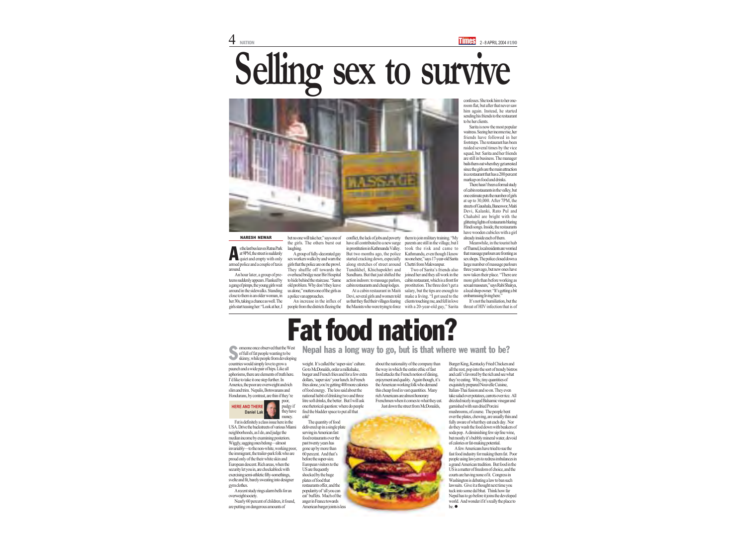#### **HERE AND THERE Daniel Lak**

omeone once observed that the West<br>of full of fat people wanting to be<br>skinny, while people from developing countries would simply love to grow a paunch and a wide pair of hips. Like all aphorisms, there are elements of truth here. I'd like to take it one step further. In America, the poor are overweight and rich slim and trim. Nepalis, Botswanans and Hondurans, by contrast, are thin if they're

> poor, pudgy if they have money.

Fat is definitely a class issue here in the USA. Drive the backstreets of various Miami neighborhoods, as I do, and judge the median income by examining posteriors. Wiggly, sagging ones belong—almost invariably—to the non-white, working poor, the immigrant, the trailer-park folk who are proud only of the their white skin and European descent. Rich areas, when the security let you in, are chockablock with exercising semi-athletic fifty-somethings, svelte and fit, barely sweating into designer gym clothes.

A recent study rings alarm bells for an overweight society.

Nearly 60 percent of children, it found, are putting on dangerous amounts of





all the rest, pop into the sort of trendy bistros and café's favored by the rich and see what they're eating. Why, tiny quantities of exquisitely prepared Nouvelle Cuisine, Italian-Thai fusion and so on. They even take salad over potatoes, carrots over rice. All drizzled nicely in aged Balsamic vinegar and garnished with sun dried Porcini mushrooms, of course. The people bent over the plates, chewing, are usually thin and fully aware of what they eat each day. Nor do they wash the food down with beakers of soda pop. A diminishing few sip fine wine, but mostly it's bubbly mineral water, devoid of calories or fat-making potential. A few Americans have tried to sue the fast food industry for making them fat. Poor people using lawyers to redress imbalances in a grand American tradition. But food in the US is a matter of freedom of choice, and the courts are having none of it. Congress in Washington is debating a law to ban such lawsuits. Give it a thought next time you tuck into some dal bhat. Think how far Nepal has to go before it joins the developed world. And wonder if it's really the place to be. ●

Go to McDonalds, order a milkshake, burger and French fries and for a few extra dollars, 'super size' your lunch. In French fries alone, you're getting 400 more calories of food energy. The less said about the national habit of drinking two and three litre soft drinks, the better. But I will ask one rhetorical question: where do people find the bladder space to put all that cola? The quantity of food delivered up in a single plate serving in American fast food restaurants over the past twenty years has gone up by more than 60 percent. And that's before the super-size. European visitors to the US are frequently shocked by the huge plates of food that restaurants offer, and the popularity of 'all you can eat' buffets. Much of the anger in France towards American burger joints is less

weight. It's called the 'super-size' culture. about the nationality of the company than Burger King, Kentucky Fried Chicken and the way in which the entire ethic of fast food attacks the French notion of dining, enjoyment and quality. Again though, it's the American working folk who demand this cheap food in vast quantities. Many rich Americans are almost honorary Frenchmen when it comes to what they eat. Just down the street from McDonalds,

An hour later, a group of preteens suddenly appears. Flanked by a gang of pimps, the young girls wait around in the sidewalks. Standing close to them is an older woman, in her 30s, taking a chance as well. The girls start teasing her: "Look at her, I bet no one will take her," says one of the girls. The others burst out laughing.

A group of fully-decorated gay sex workers walks by and warn the girls that the police are on the prowl. They shuffle off towards the overhead bridge near Bir Hospital to hide behind the staircase. "Same old problem. Why don't they leave us alone," mutters one of the girls as a police van approaches.

An increase in the influx of people from the districts fleeing the

conflict, the lack of jobs and poverty have all contributed to a new surge in prostitution in Kathmandu Valley. But two months ago, the police started cracking down, especially along stretches of street around Tundikhel, Khichapokhri and Sundhara. But that just shifted the action indoors: to massage parlors, cabin restaurants and cheap lodges.

At a cabin restaurant in Maiti Devi, several girls and women told us that they fled their villages fearing the Maoists who were trying to force them to join military training. "My parents are still in the village, but I took the risk and came to Kathmandu, even though I know no one here," says 17-year-old Sarita Chettri from Makwanpur.

s the last bus leaves Ratna Park at 9PM, the street is suddenly quiet and empty with only armed police and a couple of taxis around. A

Two of Sarita's friends also joined her and they all work in the cabin restaurant, which is a front for prostitution. The three don't get a salary, but the tips are enough to make a living. "I got used to the clients touching me, and fell in love with a 20-year-old guy," Sarita confesses. She took him to her oneroom flat, but after that never saw him again. Instead, he started sending his friends to the restaurant to be her clients.

Sarita is now the most popular waitress. Seeing her income rise, her friends have followed in her footsteps. The restaurant has been raided several times by the vice squad, but Sarita and her friends are still in business. The manager bails them out when they get arrested since the girls are the main attraction in a restaurant that has a 200 percent markup on food and drinks.

There hasn't been a formal study of cabin restaurants in the valley, but one estimate puts the number of girls at up to 30,000. After 7PM, the streets of Gaushala, Baneswor, Maiti Devi, Kalanki, Rato Pul and Chahabil are bright with the glittering lights of restaurants blaring Hindi songs. Inside, the restaurants have wooden cubicles with a girl already inside each of them.

Meanwhile, in the tourist hub of Thamel, local residents are worried that massage parlours are fronting as sex shops. The police closed down a large number of massage parlours three years ago, but new ones have now taken their place. "There are more girls than before working as sexual masseurs," says Rabi Shakya, a local shop owner. "It's getting a bit embarrassing living here."

It's not the humiliation, but the threat of HIV infection that is of

# **Selling sex to survive**



#### NARESH NEWAR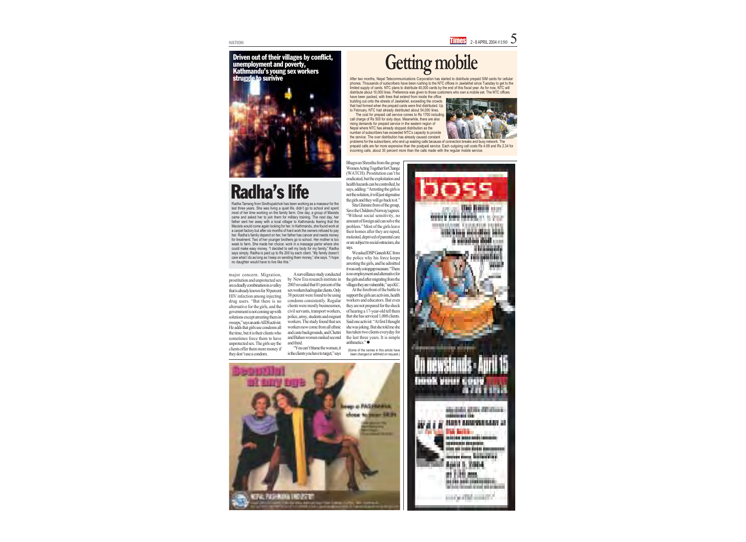Driven out of their villages by conflict, unemployment and poverty, Kathmandu's young sex workers struggle to surivive



they don't use a condom.

Bhagwan Shrestha from the group

says.

arithmetics." ●



After two months, Nepal Telecommunications Corporation has started to distribute prepaid SIM cards for cellular phones. Thousands of subscribers have been rushing to the NTC offices in Jawlakhel since Tuesday to get to the limited supply of cards. NTC plans to distribute 40,000 cards by the end of this fiscal year. As for now, NTC will distribute about 10,000 lines. Preference was given to those customers who own a mobile set. The NTC offices

have been packed, with lines that extend from inside the office building out onto the streets of Jawlakhel, exceeding the crowds that had formed when the prepaid cards were first distributed. Up to February, NTC had already distributed about 54,000 lines.

The cost for prepaid call service comes to Rs 1700 including call charge of Rs 500 for sixty days. Meanwhile, there are also rising demands for prepaid service in the eastern region of Nepal where NTC has already stopped distribution as the number of subscribers has exceeded NTC's capacity to provide the service. The over distribution has already caused constant



problems for the subscribers, who end up wasting calls because of connection breaks and busy network. The prepaid calls are far more expensive than the postpaid service. Each outgoing call costs Rs 4.68 and Rs 2.34 for incoming calls, about 30 percent more than the calls made with the regular mobile service.

## **Getting mobile**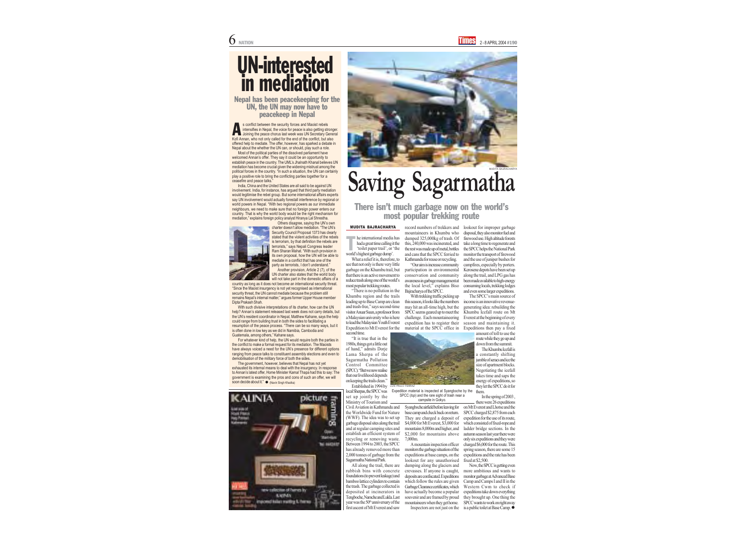What a relief it is, therefore, to see that not only is there very little garbage on the Khumbu trail, but that there is an active movement to reduce trash along one of the world's most popular trekking routes.

Established in 1994 by LUIS PAULO FERRAZ local Sherpas, the SPCC was set up jointly by the Ministry of Tourism and

"There is no pollution in the Khumbu region and the trails leading up to Base Camp are clean and trash-free," says second-time visitor Anuar Suun, a professor from a Malaysian university who is here to lead the Malaysian Youth Everest Expedition to Mt Everest for the second time.

"It is true that in the 1980s, things got a little out of hand," admits Dorje Lama Sherpa of the Sagarmatha Pollution Control Committee (SPCC). "But we now realise that our livelihood depends on keeping the trails clean."

Civil Aviation in Kathmandu and the Worldwide Fund for Nature (WWF). The idea was to set up garbage disposal sites along the trail and at regular camping sites and establish an efficient system of recycling or removing waste. Between 1994 to 2003, the SPCC has already removed more than 2,000 tonnes of garbage from the Sagarmatha National Park.

All along the trail, there are rubbish bins with concrete foundations (to prevent leakage) and bamboo lattice cylinders to contain the trash. The garbage collected is deposited at incinerators in Tengboche, Namche and Lukla. Last year was the  $50<sup>th</sup>$  anniversary of the first ascent of Mt Everest and saw

#### There isn't much garbage now on the world's most popular trekking route

MUDITA BAJRACHARYA record numbers of trekkers and mountaineers in Khumbu who dumped 325,000kg of trash. Of this, 240,000 was incinerated, and the rest was made up of metal, bottles and cans that the SPCC ferried to Kathmandu for reuse or recycling.

> "Our aim is increase community participation in environmental conservation and community awareness in garbage management at the local level," explains Biso Bajracharya of the SPCC.

> > Now, the SPCC is getting even more ambitious and wants to monitor garbage at Advanced Base Camp and Camps I and II in the Western Cwm to check if expeditions take down everything they brought up. One thing the SPCC wants to work on right away is a public toilet at Base Camp.  $\bullet$

With trekking traffic picking up this season, it looks like the numbers may hit an all-time high, but the SPCC seems geared up to meet the challenge. Each mountaineering expedition has to register their



he international media has had a great time calling it the 'toilet paper trail', or 'the world's highest garbage dump'. T

> Syangboche airfield before leaving for base camp and check back on return. They are charged a deposit of \$4,000 for Mt Everest, \$3,000 for mountains 8,000m and higher, and \$2,000 for mountains above 7,000m.

> A mountain inspection officer monitors the garbage situation of the expeditions at base camps, on the lookout for any unauthorised dumping along the glaciers and crevasses. If anyone is caught, deposits are confiscated. Expeditions which follow the rules are given Garbage Clearance certificates, which have actually become a popular souvenir and are framed by proud mountaineers when they get home. Inspectors are not just on the

material at the SPCC office in Expeditions then pay a fixed The SPCC's main source of income is an innovative revenuegenerating idea: rebuilding the Khumbu Icefall route on Mt Everest at the beginning of every season and maintaining it.

Another provision, Article 2 (7), of the UN charter also states that the world body will not take part in the domestic affairs of a lookout for improper garbage disposal, they also monitor fuel and firewood use. High altitude forests take a long time to regenerate and the SPCC helps the National Park monitor the transport of firewood and the use of juniper bushes for campfires, especially by porters. Kerosene depots have been set up along the trail, and LPG gas has been made available to high-energy consuming locals, trekking lodges and even some larger expeditions.

> amount of toll to use the route while they go up and down from the summit.

The Khumbu Icefall is a constantly shifting jumble of seracs and ice the size of apartment blocks. Negotiating the icefall takes time and saps the energy of expeditions, so they let the SPCC do it for them.

exhausted its internal means to deal with the insurgency. In response to Annan's latest offer, Home Minister Kamal Thapa had this to say: The government is examining the pros and cons of such an offer, we will soon decide about it." ● (Navin Singh Khadka)



In the spring of 2003 , there were 26 expeditions

on Mt Everest and Lhotse and the SPCC charged \$2,875 from each expedition for the use of its route, which consisted of fixed-rope and ladder bridge sections. In the autumn season last year there were only six expeditions and they were charged \$6,000 for the route. This spring season, there are some 15 expeditions and the rate has been fixed at \$2,500.

Most of the political parties of the dissolved parliament have welcomed Annan's offer. They say it could be an opportunity to establish peace in the country. The UML's Jhalnath Khanal believes UN mediation has become crucial given the widening mistrust among the political forces in the country. "In such a situation, the UN can certainly play a positive role to bring the conflicting parties together for a ceasefire and peace talks."

India, China and the United States are all said to be against UN involvement. India, for instance, has argued that third party mediation would legitimise the rebel group. But some international affairs experts say UN involvement would actually forestall interference by regional or world powers in Nepal. "With two regional powers as our immediate neighbours, we need to make sure that no foreign power enters our country. That is why the world body would be the right mechanism for mediation," explains foreign policy analyst Hiranya Lal Shrestha.



Others disagree, saying the UN's own charter doesn't allow mediation. "The UN's Security Council Proposal 1373 has clearly stated that the violent activities of the rebels is terrorism, by that definition the rebels are terrorists," says Nepali Congress leader Ram Sharan Mahat. "With such provision in its own proposal, how the UN will be able to mediate in a conflict that has one of the party as terrorists, I don't understand."

s conflict between the security forces and Maoist rebels intensifies in Nepal, the voice for peace is also getting stronger. Joining the peace chorus last week was UN Secretary General Kofi Annan, who not only called for the end of the conflict, but also offered help to mediate. The offer, however, has sparked a debate in Nepal about the whether the UN can, or should, play such a role. A

country as long as it does not become an international security threat. "Since the Maoist insurgency is not yet recognised as international security threat, the UN cannot mediate because the problem still remains Nepal's internal matter," argues former Upper House member Dipta Prakash Shah.

With such divisive interpretations of its charter, how can the UN help? Annan's statement released last week does not carry details, but the UN's resident coordinator in Nepal, Matthew Kahane, says the help could range from building trust in both the sides to facilitating a resumption of the peace process. "There can be so many ways, but it is often done in low key as we did in Namibia, Cambodia and Guatemala, among others," Kahane says.

For whatever kind of help, the UN would require both the parties in the conflict to make a formal request for its mediation. The Maoists have always voiced a need for the UN's presence for different options ranging from peace talks to constituent assembly elections and even to demobilisation of the military force of both the sides.

The government, however, believes that Nepal has not yet



## UN-interested in mediation

## **Saving Sagarmatha** MUDITA BAJRACHARYA

Expedition material is inspected at Syangboche by the SPCC (*top*) and the rare sight of trash near a campsite in Gokyo.

Nepal has been peacekeeping for the UN, the UN may now have to peacekeep in Nepal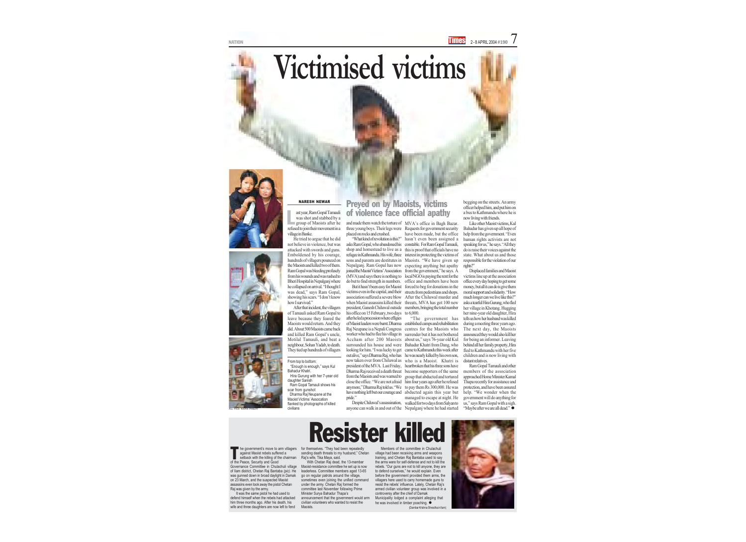NATION 2 - 8 APRIL 2004 #190 7

> He tried to argue that he did not believe in violence, but was attacked with swords and guns. Emboldened by his courage, hundreds of villagers pounced on the Maoists and killed two of them. Ram Gopal was bleeding profusely from his wounds and was rushed to Bheri Hospital in Nepalganj where he collapsed on arrival. "I thought I was dead," says Ram Gopal, showing his scars. "I don't know how I survived."

> After that incident, the villagers of Tamauli asked Ram Gopal to leave because they feared the Maoists would return. And they did. About 500 Maoists came back and killed Ram Gopal's uncle, Motilal Tamauli, and beat a neighbour, Sohan Yadab, to death. They tied up hundreds of villagers

# **Victimised victims**







#### Preyed on by Maoists, victims of violence face official apathy

It was the same pistol he had used to defend himself when the rebels had attacked him three months ago. After his death, his wife and three daughters are now left to fend

## Resister killed

and made them watch the torture of MVA's office in Bagh Bazar. placed on rocks and crushed.

"What kind of revolution is this?" asks Ram Gopal, who abandoned his shop and homestead to live as a refugee in Kathmandu. His wife, three sons and parents are destitutes in Nepalganj. Ram Gopal has now joined the Maoist Victims' Association (MVA) and says there is nothing to do but to find strength in numbers.

But it hasn't been easy for Maoist victims even in the capital, and their association suffered a severe blow when Maoist assassins killed their president, Ganesh Chiluwal outside his office on 15 February, two days after he led a procession where effigies of Maoist leaders were burnt. Dharma Raj Neupane is a Nepali Congress worker who had to flee his village in Accham after 200 Maoists surrounded his house and were looking for him. "I was lucky to get pride."

he government's move to arm villagers against Maoist rebels suffered a setback with the killing of the chairman of the Peace, Security and Good Governance Committee in Chulachuli village of Ilam district, Chetan Raj Bantaba *(pic)*. He was gunned down in broad daylight in Damak on 23 March, and the suspected Maoist assassins even took away the pistol Chetan Raj was given by the army. T

three young boys. Their legs were Requests for government security have been made, but the office hasn't even been assigned a constable. For Ram Gopal Tamauli, this is proof that officials have no interest in protecting the victims of Maoists. "We have given up expecting anything but apathy from the government," he says. A local NGO is paying the rent for the office and members have been forced to beg for donations in the streets from pedestrians and shops. After the Chiluwal murder and threats, MVA has got 100 new members, bringing the total number to 6,000.

> Ram Gopal Tamauli and other members of the association approached Home Minister Kamal Thapa recently for assistance and protection, and have been assured help. "We wonder when the government will do anything for us," says Ram Gopal with a sigh. "Maybe after we are all dead."  $\bullet$

ast year, Ram Gopal Tamauli was shot and stabbed by a **group of Maoists after he** refused to join their movement in a village in Banke. L

> With Chetan Raj dead, the 13-member Maoist-resistance committee he set up is now leaderless. Committee members aged 13-65 go on regular patrols around the village, sometimes even joining the unified command under the army. Chetan Raj formed the committee last November following Prime Minister Surya Bahadur Thapa's announcement that the government would arm civilian volunteers who wanted to resist the **Maoists**

out alive," says Dharma Raj, who has he was nearly killed by his own son, now taken over from Chiluwal as who is a Maoist. Khatri is president of the MVA. Last Friday, heartbroken that his three sons have Dharma Raj received a death threat become supporters of the same from the Maoists and was warned to group that abducted and tortured close the office. "We are not afraid him four years ago after he refused anymore," Dharma Raj told us. "We to pay them Rs 300,000. He was have nothing left but our courage and abducted again this year but Despite Chiluwal's assassination, walked for two days from Salyan to "The government has established camps and rehabilitation centres for the Maoists who surrender but it has not bothered about us," says 76-year old Kul Bahadur Khatri from Dang, who came to Kathmandu this week after managed to escape at night. He

 Ram Gopal Tamauli shows his scar from gunshot Dharma Raj Neupane at the Maoist Victims' Assocation flanked by photographs of killed civilians

anyone can walk in and out of the Nepalganj where he had started

begging on the streets. An army officer helped him, and put him on a bus to Kathmandu where he is now living with friends.

Like other Maoist victims, Kul Bahadur has given up all hope of help from the government. "Even human rights activists are not speaking for us," he says. "All they do is raise their voices against the state. What about us and those responsible for the violation of our rights?"

Displaced families and Maoist victims line up at the association office every day hoping to get some money, but all it can do is give them moral support and solidarity. "How much longer can we live like this?" asks a tearful Hira Gurung, who fled her village in Khotang. Hugging her nine-year old daughter, Hira tells us how her husband was killed during a meeting three years ago. The next day, the Maoists announced they would also kill her for being an informer. Leaving behind all her family property, Hira fled to Kathmandu with her five children and is now living with distant relatives.

#### NARESH NEWAR

Members of the committee in Chulachuli village had been receiving arms and weapons training, and Chetan Raj Bantaba used to say the arms were for self-defense and not to kill the rebels. "Our guns are not to kill anyone, they are to defend ourselves," he would explain. Even before the government provided them arms, the villagers here used to carry homemade guns to resist the rebels' influence. Lately, Chetan Raj's armed civilian volunteer group was involved in a controversy after the chief of Damak Municipality lodged a complaint alleging that he was involved in timber poaching.  $\bullet$ (Dambar Krishna Shrestha in Ilam)



for themselves. "They had been repeatedly sending death threats to my husband," Chetan Raj's wife, Tika Maya, said.

From top to bottom:

 "Enough is enough," says Kul Bahadur Khatri.

 Hira Gurung with her 7-year old daughter Sanish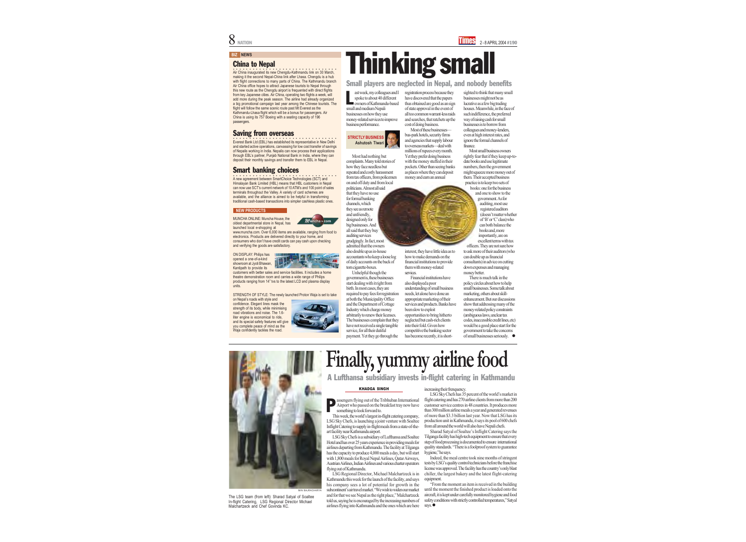#### **BIZ NEWS**

Most had nothing but

complaints. Many told stories of how they face needless but repeated and costly harassment from tax officers, from policemen on and off duty and from local politicians. Almost all said that they have no use for formal banking channels, which they see as remote and unfriendly, designed only for big businesses. And all said that they buy auditing services grudgingly. In fact, most admitted that the owners also double up as in-house accountants who keep a loose log of daily accounts on the back of torn cigarette-boxes.

ast week, my colleagues and I spoke to about 40 different owners of Kathmandu-based small and medium Nepali businesses on how they use money-related services to improve business performance. L



Unhelpful though the government is, these businesses start dealing with it right from birth. In most cases, they are required to pay fees for registration at both the Municipality Office and the Department of Cottage Industry which charge money arbitrarily to renew their licenses. The businesses complain that they have not received a single tangible service, for all their dutiful payment. Yet they go through the

#### Small players are neglected in Nepal, and nobody benefits

# Thinking small

registration process because they have discovered that the papers thus obtained are good as an sign of state approval in the event of all too common warrant-less raids and searches, that ratchets up the cost of doing business.

Most of these businesses bus-park hotels, security firms and agencies that supply labour to overseas markets—deal with millions of rupees every month. Yet they prefer doing business with the money stuffed in their pockets. Other than seeing banks as places where they can deposit money and earn an annual

interest, they have little idea as to how to make demands on the financial institutions to provide them with money-related services.

Financial institutions have also displayed a poor understanding of small business needs, let alone have done an appropriate marketing of their services and products. Banks have been slow to exploit opportunities to bring hitherto neglected but cash-rich clients into their fold. Given how competitive the banking sector has become recently, it is short-

Air China inaugurated its new Chengdu-Kathmandu link on 30 March, making it the second Nepal-China link after Lhasa. Chengdu is a hub with flight connections to many parts of China. The Kathmandu branch Air China office hopes to attract Japanese tourists to Nepal through this new route as the Chengdu airport is frequented with direct flights from key Japanese cities. Air China, operating two flights a week, will add more during the peak season. The airline had already organized a big promotional campaign last year among the Chinese tourists. The flight will follow the same scenic route past Mt Everest as the Kathmandu-Lhasa flight which will be a bonus for passengers. Air China is using its 757 Boeing with a seating capacity of 196 passengers.

**COO**<br>
Everest Bank Ltd (EBL) has established its representative in New Delhi and started active operations, canvassing for low cost transfer of savings of Nepalis working in India. Nepalis can now process their applications through EBL's partner, Punjab National Bank in India, where they can deposit their monthly savings and transfer them to EBL in Nepal.

sighted to think that many small businesses might not be as lucrative as a few big trading houses. Meanwhile, in the face of such indifference, the preferred way of raising cash for small businesses is to borrow from colleagues and money-lenders, even at high interest rates, and ignore the formal channels of finance.

 $\overline{\mathsf{A}}$  new agreement between SmartChoice Technologies (SCT) and Himalayan Bank Limited (HBL) means that HBL customers in Nepal can now use SCT's current network of 10 ATM's and 100 point of sales terminals throughout the Valley. A variety of card schemes are available, and the alliance is aimed to be helpful in transforming traditional cash-based transactions into simpler cashless plastic ones.

Most small business owners rightly fear that if they keep up-to date books and use legitimate numbers, then the government might squeeze more money out of them. Their accepted business practice is to keep two sets of books: one for the business

and one to show to the government. As for auditing, most use registered auditors (doesn't matter whether of 'B' or 'C' class) who can both balance the books and, more importantly, are on excellent terms with tax

officers. They are not sure how to ask more of their auditors (who can double up as financial consultants) in advice on cutting down expenses and managing money better.

There is much talk in the policy circles about how to help small businesses. Some talk about marketing, others about skill enhancement. But our discussions show that addressing many of the money-related policy constraints (ambiguous laws, unclear tax codes, inaccessible credit lines, etc) would be a good place start for the government to take the concerns



#### China to Nepal

"From the moment an item is received in the building until the moment the finished product is loaded onto the aircraft, it is kept under carefully monitored hygiene and food safety conditions with strictly controlled temperatures," Satyal says.  $\bullet$ 

#### Saving from overseas

#### Smart banking choices

MUNCHA ONLINE: Muncha House, the oldest departmental store in Nepal, has launched local e-shopping at



www.muncha.com. Over 6,000 items are available, ranging from food to electronics. Products are delivered directly to your home, and consumers who don't have credit cards can pay cash upon checking and verifying the goods are satisfactory.

ON DISPLAY: Philips has opened a one-of-a-kind showroom at Jyoti Bhawan, Kantipath to provide its



customers with better sales and service facilities. It includes a home theatre demonstration room and carries a wide range of Philips products ranging from 14" tvs to the latest LCD and plasma display units.

STRENGTH OF STYLE: The newly launched Proton Waja is set to take

on Nepal's roads with style and confidence. Elegant lines mask the strength of its body, while minimising road vibrations and noise. The 1.6 liter engine is economical to ride, and its special safety features will give you complete peace of mind as the Waja confidently tackles the road.



subcontinent's air travel market. "We wish to widen our market and for that we see Nepal as the right place," Malchartzeck told us, saying he is encouraged by the increasing numbers of airlines flying into Kathmandu and the ones which are here



MIN BAJRACHARYA

LSG Sky Chefs has 35 percent of the world's market in flight catering and has 270 airline clients from more than 200 customer service centres in 48 countries. It produces more than 300 million airline meals a year and generated revenues of more than \$3.3 billion last year. Now that LSG has its production unit in Kathmandu, it says its pool of 600 chefs

Sharad Satyal of Soaltee's Inflight Catering says the Tilganga facility has high-tech equipment to ensure that every step of food processing is documented to ensure international quality standards. "There is a foolproof system to guarantee

Indeed, the meal centre took nine months of stringent tests by LSG's quality control technicians before the franchise license was approved. The facility has the country's only blast chiller, the largest bakery and the latest flight-catering

The LSG team (from left): Sharad Satyal of Soaltee In-flight Catering, LSG Regional Director Michael Malchartzeck and Chef Govinda KC.

#### **NEW PRODUCTS**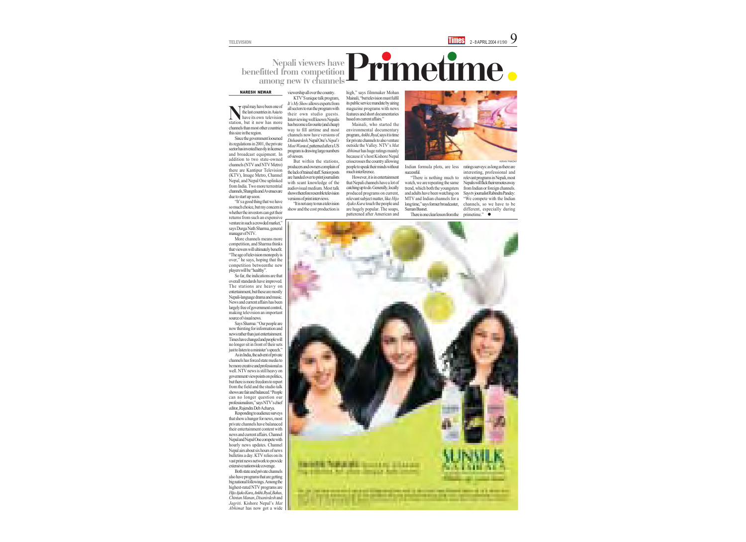Since the government loosened its regulations in 2001, the private sector has invested heavily in licenses and broadcast equipment. In addition to two state-owned channels (NTV and NTV Metro) there are Kantipur Television (KTV), Image Metro, Channel Nepal, and Nepal One uplinked from India. Two more terrestrial channels, Shangrila and Avenues are due to start up soon.

"It's a good thing that we have so much choice, but my concern is whether the investors can get their returns from such an expensive venture in such a crowded market," says Durga Nath Sharma, general manager of NTV.

More channels means more competition, and Sharma thinks that viewers will ultimately benefit. "The age of television monopoly is over," he says, hoping that the competition betweenthe new players will be "healthy".

So far, the indications are that overall standards have improved. The stations are heavy on entertainment, but these are mostly Nepali-language drama and music. News and current affairs has been largely free of government control, making television an important source of visual news.

Says Sharma: "Our people are now thirsting for information and news rather than just entertainment. Times have changed and people will no longer sit in front of their sets just to listen to a minister's speech."

As in India, the advent of private channels has forced state media to

be more creative and professional as well. NTV news is still heavy on government viewpoints on politics, but there is more freedom to report from the field and the studio talk shows are fair and balanced. "People can no longer question our professionalism," says NTV's chief editor, Rajendra Deb Acharya.

Responding to audience surveys that show a hunger for news, most private channels have balanaced their entertainment content with news and current affairs. Channel Nepal and Nepal One compete with hourly news updates. Channel Nepal airs about six hours of news bulletins a day. KTV relies on its vast print news network to provide extensive nationwide coverage.

ratings surveys: as long as there are interesting, professional and relevant programs in Nepali, most Nepalis will flick their remotes away from Indian or foreign channels. Says tv journalist Rabindra Pandey: "We compete with the Indian channels, so we have to be different, especially during primetime." $\bullet$ 



epal may have been one of the last countries in Asia to have its own television station, but it now has more channels than most other countries this size in the region. N

Both state and private channels also have programs that are getting big national followings. Among the highest-rated NTV programs are *Hijo Ajako Kura*, *Ankhi Jhyal*, *Bahas*, *Chintan Manan*, *Disanirdesh* and *Jagriti*. Kishore Nepal's *Mat Abhimat* has now got a wide

#### viewership all over the country.

KTV'S unique talk program, *It's My Show* allows experts from all sectors to run the program with their own studio guests. Interviewing well known Nepalis has become a favourite (and cheap) way to fill airtime and most channels now have versions of *Dishanirdesh*. Nepal One's *Nepal's Most Wanted*, patterned after a US program is drawing large numbers of viewers.

But within the stations, producers and owners complain of the lack of trained staff. Senior posts are handed over to print journalists with scant knowledge of the audiovisual medium. Most talk shows therefore resemble television versions of print interviews.

"It is not easy to run a television show and the cost production is high," says filmmaker Mohan Mainali, "but television must fulfil its public service mandate by airing magazine programs with news features and short documentaries based on current affairs."

#### Nepali viewers have benefitted from competition among new tv channels Primetime

Mainali, who started the environmental documentary program, *Ankhi Jhyal*, says it is time for private channels to also venture outside the Valley. NTV's *Mat Abhimat* has huge ratings mainly because it's host Kishore Nepal crisscrosses the country allowing people to speak their minds without much interference.

However, it is in entertainment that Nepali channels have a lot of catching up to do. Generally, locally produced programs on current, relevant subject matter, like *Hijo Ajako Kura* touch the people and are hugely popular. The soaps, patterened after American and

Indian formula plots, are less successful.

"There is nothing much to watch, we are repeating the same trend, which both the youngsters and adults have been watching on MTV and Indian channels for a long time," says former broadcaster, Suman Basnet.

There is one clear lesson from the

#### NARESH NEWAR

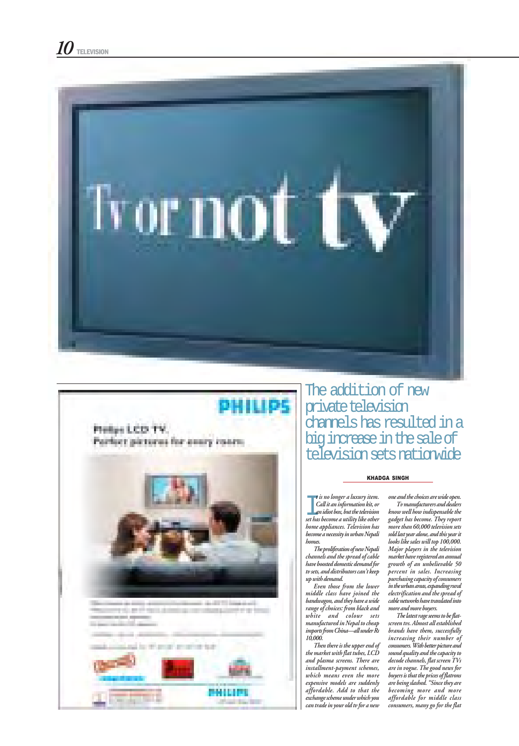



The addition of new private television channels has resulted in a big increase in the sale of television sets nationwide

#### KHADGA SINGH

t is no longer a luxury item.<br>Call it an information kit, or<br>an idiot box, but the television<br>set has become a utility like other t is no longer a luxury item. Call it an information kit, or an idiot box, but the television home appliances. Television has become a necessity in urban Nepali homes. The proliferation of new Nepali channels and the spread of cable have boosted domestic demand for tv sets, and distributors can't keep up with demand. Even those from the lower middle class have joined the bandwagon, and they have a wide range of choices: from black and white and colour sets manufactured in Nepal to cheap imports from China—all under Rs 10,000. Then there is the upper end of the market with flat tubes, LCD and plasma screens. There are installment-payment schemes, which means even the more expensive models are suddenly affordable. Add to that the exchange scheme under which you can trade in your old tv for a new

one and the choices are wide open. Tv manufacturers and dealers know well how indispensable the gadget has become. They report more than 60,000 television sets sold last year alone, and this year it looks like sales will top 100,000. Major players in the television market have registered an annual growth of an unbelievable 50 percent in sales. Increasing purchasing capacity of consumers in the urban areas, expanding rural electrification and the spread of cable networks have translated into more and more buyers. The latest rage seems to be flatscreen tvs. Almost all established brands have them, successfully increasing their number of consumers. With better picture and sound quality and the capacity to decode channels, flat screen TVs are in vogue. The good news for buyers is that the prices of flatrons are being slashed. "Since they are becoming more and more affordable for middle class consumers, many go for the flat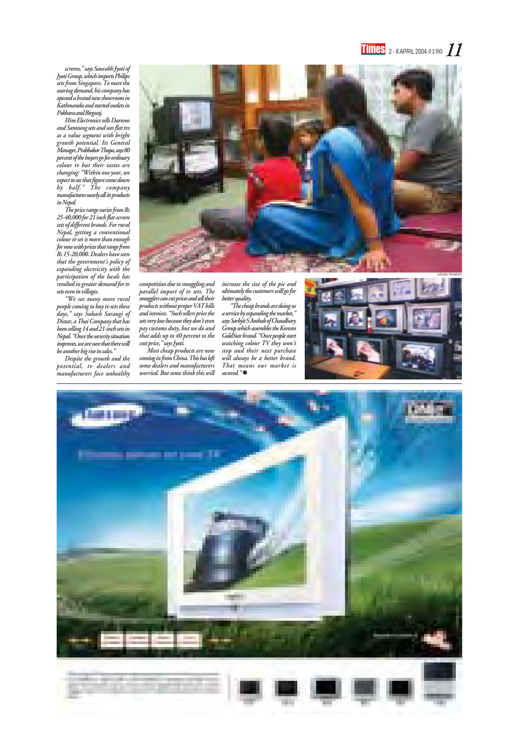#### $\frac{1}{2}$  - 8 APRIL 2004 #190  $\frac{1}{2}$

screens," says Saurabh Jyoti of Jyoti Group, which imports Philips sets from Singapore. To meet the soaring demand, his company has opened a brand new showroom in Kathmandu and started outlets in Pokhara and Birgunj.

Him Electronics sells Daewoo and Samsung sets and sees flat tvs as a value segment with bright growth potential. Its General Manager, Prabhakar Thapa, says 80 percent of the buyers go for ordinary colour tv but their tastes are changing: "Within one year, we expect to see that figure come down by half." The company manufactures nearly all its products in Nepal.

> competition due to smuggling and parallel import of tv sets. The smugglers can cut prices and sell their products without proper VAT bills and invoices. "Such sellers price the sets very low because they don't even pay customs duty, but we do and that adds up to 40 percent to the cost price," says Jyoti.

The price range varies from Rs 25-40,000 for 21 inch flat-screen sets of different brands. For rural Nepal, getting a conventional colour tv set is more than enough for now with prices that range from Rs 15-20,000. Dealers have seen that the government's policy of expanding electricity with the participation of the locals has resulted in greater demand for tv sets even in villages.

> "The cheap brands are doing us a service by expanding the market," says Sarbjit S Anthak of Chaudhary Group which assembles the Korean GoldStar brand. "Once people start watching colour TV they won't stop and their next purchase will always be a better brand. That means our market is secured."●





"We see many more rural people coming to buy tv sets these days," says Subash Saraugi of Distar, a Thai Company that has been selling 14 and 21-inch sets in Nepal. "Once the security situation improves, we are sure that there will be another big rise in sales."

Despite the growth and the potential, tv dealers and manufacturers face unhealthy

Most cheap products are now coming in from China. This has left some dealers and manufacturers worried. But some think this will

increase the size of the pie and ultimately the customers will go for better quality.

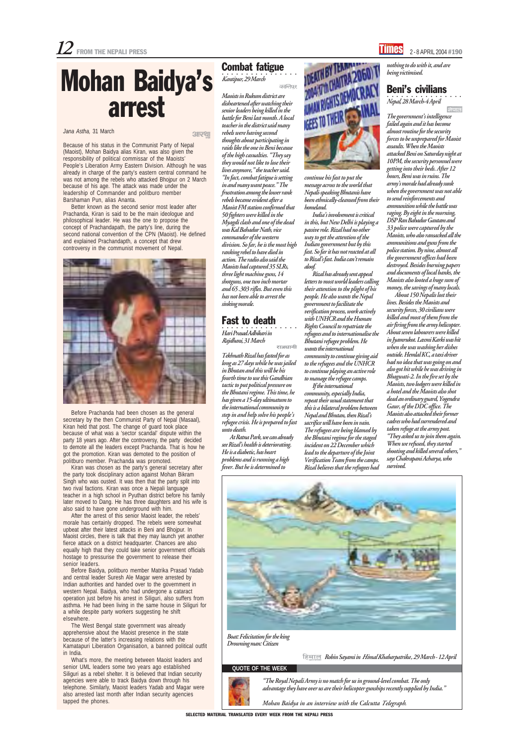SELECTED MATERIAL TRANSLATED EVERY WEEK FROM THE NEPALI PRESS

#### **QUOTE OF THE WEEK**



"The Royal Nepali Army is no match for us in ground-level combat. The only advantage they have over us are their helicopter gunships recently supplied by India."

Mohan Baidya in an interview with the Calcutta Telegraph.

Boat: Felicitation for the king Drowning man: Citizen

हिमाल Robin Sayami in *Himal Khabarpatrika*, 29 March - 12 April

#### Jana Astha, 31 March

Because of his status in the Communist Party of Nepal (Maoist), Mohan Baidya alias Kiran, was also given the responsibility of political commissar of the Maoists' People's Liberation Army Eastern Division. Although he was already in charge of the party's eastern central command he was not among the rebels who attacked Bhojpur on 2 March because of his age. The attack was made under the leadership of Commander and politburo member Barshaman Pun, alias Ananta.

Better known as the second senior most leader after Prachanda, Kiran is said to be the main ideologue and philosophical leader. He was the one to propose the concept of Prachandapath, the party's line, during the second national convention of the CPN (Maoist). He defined and explained Prachandapth, a concept that drew controversy in the communist movement of Nepal.



Before Prachanda had been chosen as the general secretary by the then Communist Party of Nepal (Masaal), Kiran held that post. The change of guard took place because of what was a 'sector scandal' dispute within the party 18 years ago. After the controversy, the party decided to demote all the leaders except Prachanda. That is how he got the promotion. Kiran was demoted to the position of politburo member. Prachanda was promoted.

○○○○○○○○○○○○○○○○ Hari Prasad Adhikari in Rajdhani, 31 March राजधानी

Kiran was chosen as the party's general secretary after the party took disciplinary action against Mohan Bikram Singh who was ousted. It was then that the party split into two rival factions. Kiran was once a Nepali language teacher in a high school in Pyuthan district before his family later moved to Dang. He has three daughters and his wife is also said to have gone underground with him. After the arrest of this senior Maoist leader, the rebels' morale has certainly dropped. The rebels were somewhat upbeat after their latest attacks in Beni and Bhojpur. In Maoist circles, there is talk that they may launch yet another fierce attack on a district headquarter. Chances are also equally high that they could take senior government officials hostage to pressurise the government to release their senior leaders. Before Baidya, politburo member Matrika Prasad Yadab and central leader Suresh Ale Magar were arrested by Indian authorities and handed over to the government in western Nepal. Baidya, who had undergone a cataract operation just before his arrest in Siliguri, also suffers from asthma. He had been living in the same house in Siliguri for a while despite party workers suggesting he shift elsewhere. The West Bengal state government was already apprehensive about the Maoist presence in the state because of the latter's increasing relations with the Kamatapuri Liberation Organisation, a banned political outfit in India. What's more, the meeting between Maoist leaders and senior UML leaders some two years ago established Siliguri as a rebel shelter. It is believed that Indian security agencies were able to track Baidya down through his telephone. Similarly, Maoist leaders Yadab and Magar were also arrested last month after Indian security agencies tapped the phones.

#### Combat fatigue

••••••••••••••••••••••••<br>K*antipur,* 29 March कान्तिपुर

 $3129$ 

Maoists in Rukum district are disheartened after watching their senior leaders being killed in the battle for Beni last month. A local teacher in the district said many rebels were having second thoughts about participating in raids like the one in Beni because of the high casualties. "They say they would not like to lose their lives anymore," the teacher said. "In fact, combat fatigue is setting in and many want peace." The frustration among the lower rank rebels became evident after a Maoist FM station confirmed that 50 fighters were killed in the Myagdi clash and one of the dead was Kal Bahadur Nath, vice commander of the western division. So far, he is the most high ranking rebel to have died in action. The radio also said the Maoists had captured 35 SLRs, three light machine guns, 14 shotguns, one two inch mortar and 65 .303 rifles. But even this has not been able to arrest the sinking morale.

#### Fast to death

Tekhnath Rizal has fasted for as long as 27 days while he was jailed in Bhutan and this will be his fourth time to use this Gandhian tactic to put political pressure on the Bhutani regime. This time, he has given a 15-day ultimatum to the international community to step in and help solve his people's refugee crisis. He is prepared to fast unto death.

At Ratna Park, we can already see Rizal's health is deteriorating. He is a diabetic, has heart problems and is running a high fever. But he is determined to



## Mohan Baidya's arrest

continue his fast to put the message across to the world that Nepali-speaking Bhutanis have been ethnically-cleansed from their homeland.

India's involvement is critical in this, but New Delhi is playing a passive role. Rizal had no other way to get the attention of the Indian government but by this fast. So far it has not reacted at all to Rizal's fast. India can't remain aloof.

Rizal has already sent appeal letters to most world leaders calling their attention to the plight of his people. He also wants the Nepal government to facilitate the verification process, work actively with UNHCR and the Human Rights Council to repatriate the refugees and to internationalise the Bhutani refugee problem. He wants the international community to continue giving aid to the refugees and the UNHCR to continue playing an active role to manage the refugee camps.

If the international community, especially India, repeat their usual statement that this is a bilateral problem between Nepal and Bhutan, then Rizal's sacrifice will have been in vain. The refugees are being blamed by the Bhutani regime for the staged incident on 22 December which lead to the departure of the Joint Verification Team from the camps. Rizal believes that the refugees had

nothing to do with it, and are being victimised.

#### Beni's civilians

○○○○○○○○○○○○○○○○ Nepal, 28 March-4 April

The government's intelligence failed again and it has become almost routine for the security forces to be unprepared for Maoist assaults. When the Maoists attacked Beni on Saturday night at 10PM, the security personnel were getting into their beds. After 12 hours, Beni was in ruins. The army's morale had already sunk when the government was not able to send reinforcements and ammunition while the battle was raging. By eight in the morning, DSP Ran Bahadur Gautam and 33 police were captured by the Maoists, who also ransacked all the ammunitions and guns from the police station. By nine, almost all the government offices had been destroyed. Besides burning papers and documents of local banks, the Maoists also looted a huge sum of money, the savings of many locals.

About 150 Nepalis lost their lives. Besides the Maoists and security forces, 30 civilians were killed and most of them from the air firing from the army helicopter. About seven labourers were killed in Jyamrukot. Laxmi Karki was hit when she was washing her dishes outside. Hemlal KC, a taxi driver had no idea that was going on and also got hit while he was driving in Bhagwati-2. In the fire set by the Maoists, two lodgers were killed in a hotel and the Maoists also shot dead an ordinary guard, Yogendra Gaur, of the DDC office. The Maoists also attacked their former cadres who had surrendered and taken refuge at the army post. "They asked us to join them again. When we refused, they started shooting and killed several others," says Chakrapani Acharya, who survived.

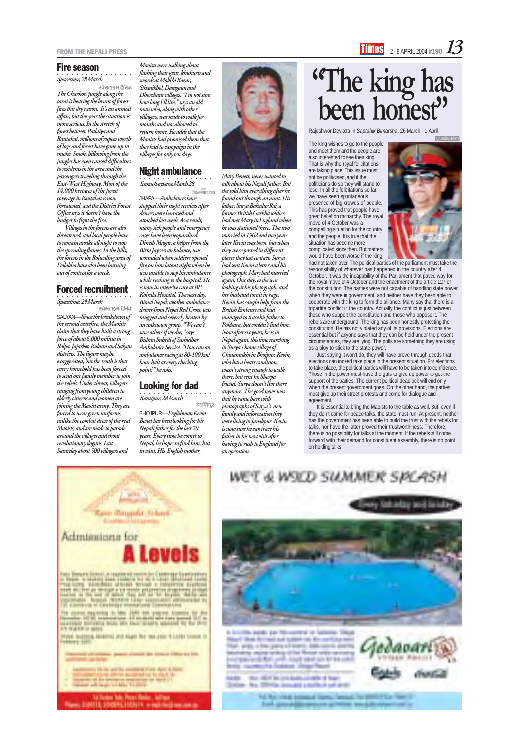#### Fire season

○○○○○○○○○○○○○○○○ Spacetime, 28 March

स्पेसटाइम दैनिक The Charkose jungle along the tarai is bearing the brunt of forest fires this dry season. It's an annual affair, but this year the situation is more serious. In the stretch of forest between Patlaiya and Rautahat, millions of rupees worth of logs and forest have gone up in smoke. Smoke billowing from the jungles has even caused difficulties to residents in the area and the passengers traveling through the East-West Highway. Most of the 14,000 hectares of the forest coverage in Rautahat is now threatened, and the District Forest Office says it doesn't have the budget to fight the fire.

○○○○○○○○○○○○○○○○ Spacetime, 29 March स्पेसटाइम दैनिक

SALYAN—Since the breakdown of the second ceasefire, the Maoists claim that they have built a strong force of about 6,000 militia in Rolpa, Jajarkot, Rukum and Salyan districts. The figure maybe exaggerated, but the truth is that every household has been forced to send one family member to join the rebels. Under threat, villagers ranging from young children to elderly citizens and women are joining the Maoist army. They are forced to wear green uniforms, unlike the combat dress of the real Maoists, and are made to parade around the villages and shout revolutionary slogans. Last Saturday about 500 villagers and

Villages in the forests are also threatened, and local people have to remain awake all night to stop the spreading flames. In the hills, the forests in the Rolwaling area of Dolakha have also been burning out of control for a week.

#### Forced recruitment

Rajeshwor Devkota in Saptahik Bimarsha, 26 March - 1 April

| साप्ताहिक विमर्श

The king wishes to go to the people and meet them and the people are also interested to see their king. That is why the royal felicitations are taking place. This issue must not be politicised, and if the politicians do so they will stand to lose. In all the felicitations so far, we have seen spontaneous presence of big crowds of people. This has proved that people have great belief on monarchy. The royal move of 4 October was a compelling situation for the country and the people. It is true that the situation has become more complicated since then. But matters would have been worse if the king



○○○○○○○○○○○○○○○○ Samacharpatra, March 28 .<br>नेपाल समाचारपत्र

○○○○○○○○○○○○○○○○ Kantipur, 28 March कान्तिपर had not taken over. The political parties of the parliament must take the responsibility of whatever has happened in the country after 4 October. It was the incapability of the Parliament that paved way for the royal move of 4 October and the enactment of the article 127 of the constitution. The parties were not capable of handling state power when they were in government, and neither have they been able to cooperate with the king to form the alliance. Many say that there is a tripartite conflict in the country. Actually the conflict is just between those who support the constitution and those who oppose it. The rebels are underground. The king has been honestly protecting the constitution. He has not violated any of its provisions. Elections are essential but if anyone says that they can be held under the present circumstances, they are lying. The polls are something they are using as a ploy to stick to the state-power.

Just saying it won't do, they will have prove through deeds that elections can indeed take place in the present situation. For elections to take place, the political parties will have to be taken into confidence. Those in the power must have the guts to give up power to get the support of the parties. The current political deadlock will end only when the present government goes. On the other hand, the parties must give up their street protests and come for dialogue and agreement.

It is essential to bring the Maoists to the table as well. But, even if they don't come for peace talks, the state must run. At present, neither has the government has been able to build the trust with the rebels for talks, nor have the latter proved their trustworthiness. Therefore, there is no possibility for talks at the moment. If the rebels still come forward with their demand for constituent assembly, there is no point on holding talks.



WALD SUMME





## **"The king has been honest"**

Maoists were walking about flashing their guns, khukuris and swords at Mokhla Bazar, Sthanikhol, Daragaun and Dhorchaur villages. "I'm not sure how long I'll live," says an old man who, along with other villagers, was made to walk for months and not allowed to return home. He adds that the Maoists had promised them that they had to campaign in the villages for only ten days.

#### Night ambulance

JHAPA—Ambulances have stopped their night services after drivers were harrased and attacked last week. As a result, many sick people and emergency cases have been jeopardised. Dinesh Magar, a helper from the Birta Jaycees ambulance, was wounded when soldiers opened fire on him late at night when he was unable to stop his ambulance while rushing to the hospital. He is now in intensive care at BP Koirala Hospital. The next day, Bimal Nepal, another ambulance driver from Nepal Red Cross, was mugged and severely beaten by an unknown group. "We can't save others if we die," says Bishnu Subedi of Sashidhar Ambulance Service. "How can an ambulance racing at 80-100 km/ hour halt at every checking point?" he asks.

#### Looking for dad

BHOJPUR—Englishman Kevin Benet has been looking for his Nepali father for the last 20 years. Every time he comes to Nepal, he hopes to find him, but in vain. His English mother,



Mary Benett, never wanted to talk about his Nepali father. But she told him everything after he found out through an aunt. His father, Surya Bahadur Rai, a former British Gurkha soldier, had met Mary in England when he was stationed there. The two married in 1962 and two years later Kevin was born, but when they were posted in different places they lost contact. Surya had sent Kevin a letter and his photograph. Mary had married again. One day, as she was looking at his photograph, and her husband tore it in rage. Kevin has sought help from the British Embassy and had managed to trace his father to Pokhara, but couldn't find him. Now after six years, he is in Nepal again, this time searching in Surya's home village of Chinamukhi in Bhojpur. Kevin, who has a heart condition, wasn't strong enough to walk there, but sent his Sherpa friend. Surya doesn't live there anymore. The good news was that he came back with photographs of Surya's new family and information they were living in Janakpur. Kevin is now sure he can trace his father in his next visit after having to rush to England for

an operation.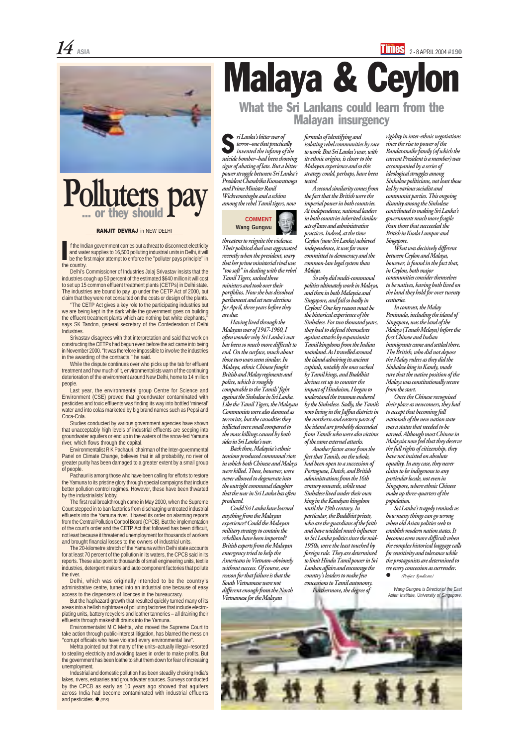#### **COMMENT Wang Gungwu**

# Malaya & Ceylon

#### What the Sri Lankans could learn from the Malayan insurgency

Delhi's Commissioner of Industries Jalaj Srivastav insists that the industries cough up 50 percent of the estimated \$640 million it will cost to set up 15 common effluent treatment plants (CETPs) in Delhi state. The industries are bound to pay up under the CETP Act of 2000, but claim that they were not consulted on the costs or design of the plants.

''The CETP Act gives a key role to the participating industries but we are being kept in the dark while the government goes on building the effluent treatment plants which are nothing but white elephants,'' says SK Tandon, general secretary of the Confederation of Delhi Industries.

Srivastav disagrees with that interpretation and said that work on constructing the CETPs had begun even before the act came into being in November 2000. ''It was therefore impossible to involve the industries in the awarding of the contracts,'' he said.

While the dispute continues over who picks up the tab for effluent treatment and how much of it, environmentalists warn of the continuing deterioration of the environment around New Delhi, home to 14 million people.

Last year, the environmental group Centre for Science and Environment (CSE) proved that groundwater contaminated with pesticides and toxic effluents was finding its way into bottled 'mineral' water and into colas marketed by big brand names such as Pepsi and Coca-Cola.

Studies conducted by various government agencies have shown that unacceptably high levels of industrial effluents are seeping into groundwater aquifers or end up in the waters of the snow-fed Yamuna river, which flows through the capital.

Industrial and domestic pollution has been steadily choking India's lakes, rivers, estuaries and groundwater sources. Surveys conducted by the CPCB as early as 10 years ago showed that aquifers across India had become contaminated with industrial effluents and pesticides.  $\bullet$  (IPS)

(Project Syndicate)

Environmentalist R K Pachauri, chairman of the Inter-governmental Panel on Climate Change, believes that in all probability, no river of greater purity has been damaged to a greater extent by a small group of people.

Pachauri is among those who have been calling for efforts to restore the Yamuna to its pristine glory through special campaigns that include better pollution control regimes. However, these have been thwarted by the industrialists' lobby.

The first real breakthrough came in May 2000, when the Supreme Court stepped in to ban factories from discharging untreated industrial effluents into the Yamuna river. It based its order on alarming reports from the Central Pollution Control Board (CPCB). But the implementation of the court's order and the CETP Act that followed has been difficult, not least because it threatened unemployment for thousands of workers and brought financial losses to the owners of industrial units.

The 20-kilometre stretch of the Yamuna within Delhi state accounts for at least 70 percent of the pollution in its waters, the CPCB said in its reports. These also point to thousands of small engineering units, textile industries, detergent makers and auto component factories that pollute the river.

Delhi, which was originally intended to be the country's administrative centre, turned into an industrial one because of easy access to the dispensers of licences in the bureaucracy.

But the haphazard growth that resulted quickly turned many of its areas into a hellish nightmare of polluting factories that include electroplating units, battery recyclers and leather tanneries – all draining their effluents through makeshift drains into the Yamuna.

Environmentalist M C Mehta, who moved the Supreme Court to take action through public-interest litigation, has blamed the mess on ''corrupt officials who have violated every environmental law''.

Mehta pointed out that many of the units–actually illegal–resorted to stealing electricity and avoiding taxes in order to make profits. But the government has been loathe to shut them down for fear of increasing unemployment.

#### RANJIT DEVRAJ in NEW DELHI

 $\underline{14}$  asia  $\underline{\phantom{111}}$  asia  $2$  -8 April 2004 #190



## **Polluters pay** ... or they should

formula of identifying and isolating rebel communities by race to work. But Sri Lanka's war, with its ethnic origins, is closer to the Malayan experience and so this strategy could, perhaps, have been tested.

A second similarity comes from the fact that the British were the imperial power in both countries. At independence, national leaders in both countries inherited similar sets of laws and administrative practices. Indeed, at the time Ceylon (now Sri Lanka) achieved independence, it was far more committed to democracy and the common-law legal system than Malaya.

 f the Indian government carries out a threat to disconnect electricity and water supplies to 16,500 polluting industrial units in Delhi, it will be the first major attempt to enforce the ''polluter pays principle'' in the country. I

> So why did multi-communal politics ultimately work in Malaya, and then in both Malaysia and Singapore, and fail so badly in Ceylon? One key reason must be the historical experience of the Sinhalese. For two thousand years, they had to defend themselves against attacks by expansionist Tamil kingdoms from the Indian mainland. As I travelled around the island admiring its ancient capitals, notably the ones sacked by Tamil kings, and Buddhist shrines set up to counter the impact of Hinduism, I began to understand the traumas endured by the Sinhalese. Sadly, the Tamils now living in the Jaffna districts in the northern and eastern parts of the island are probably descended from Tamils who were also victims of the same external attacks.

Another factor arose from the fact that Tamils, on the whole, had been open to a succession of Portuguese, Dutch, and British administrations from the 16th century onwards, while most Sinhalese lived under their own king in the Kandyan kingdom until the 19th century. In particular, the Buddhist priests, who are the guardians of the faith and have wielded much influence in Sri Lanka politics since the mid-1950s, were the least touched by foreign rule. They are determined to limit Hindu Tamil power in Sri Lankan affairs and encourage the country's leaders to make few concessions to Tamil autonomy. Furthermore, the degree of

threatens to reignite the violence. Their political duel was aggravated recently when the president, wary that her prime ministerial rival was "too soft" in dealing with the rebel Tamil Tigers, sacked three ministers and took over their portfolios. Now she has dissolved parliament and set new elections for April, three years before they are due.

Having lived through the Malayan war of 1947-1960, I often wonder why Sri Lanka's war has been so much more difficult to end. On the surface, much about those two wars seem similar. In Malaya, ethnic Chinese fought British and Malay regiments and police, which is roughly comparable to the Tamils' fight against the Sinhalese in Sri Lanka. Like the Tamil Tigers, the Malayan Communists were also damned as terrorists, but the casualties they inflicted were small compared to the mass killings caused by both sides in Sri Lanka's war.

Back then, Malaysia's ethnic tensions produced communal riots in which both Chinese and Malays were killed. These, however, were never allowed to degenerate into the outright communal slaughter that the war in Sri Lanka has often produced.

Could Sri Lanka have learned anything from the Malayan experience? Could the Malayan military strategy to contain the rebellion have been imported? British experts from the Malayan emergency tried to help the Americans in Vietnam–obviously without success. Of course, one reason for that failure is that the South Vietnamese were not different enough from the North Vietnamese for the Malayan

ri Lanka's bitter war of terror–one that practically invented the infamy of the suicide bomber–had been showing signs of abating of late. But a bitter power struggle between Sri Lanka's President Chandrika Kumaratunga and Prime Minister Ranil Wickremesinghe and a schism among the rebel Tamil tigers, now S

rigidity in inter-ethnic negotiations since the rise to power of the Bandaranaike family (of which the current President is a member) was accompanied by a series of ideological struggles among Sinhalese politicians, not least those led by various socialist and communist parties. This ongoing disunity among the Sinhalese contributed to making Sri Lanka's governments much more fragile than those that succeeded the British in Kuala Lumpur and Singapore.

What was decisively different between Ceylon and Malaya, however, is found in the fact that, in Ceylon, both major communities consider themselves to be natives, having both lived on the land they hold for over twenty centuries.

In contrast, the Malay Peninsula, including the island of Singapore, was the land of the Malays (Tanah Melayu) before the first Chinese and Indian immigrants came and settled there. The British, who did not depose the Malay rulers as they did the Sinhalese king in Kandy, made sure that the native position of the Malays was constitutionally secure from the start.

Once the Chinese recognised their place as newcomers, they had to accept that becoming full nationals of the new nation state was a status that needed to be earned. Although most Chinese in Malaysia now feel that they deserve the full rights of citizenship, they have not insisted on absolute equality. In any case, they never claim to be indigenous to any particular locale, not even in Singapore, where ethnic Chinese make up three-quarters of the population.

Sri Lanka's tragedy reminds us how many things can go wrong when old Asian polities seek to establish modern nation states. It becomes even more difficult when the complex historical baggage calls for sensitivity and tolerance while the protagonists are determined to see every concession as surrender.

Wang Gungwu is Director of the East Asian Institute, University of Singapore.

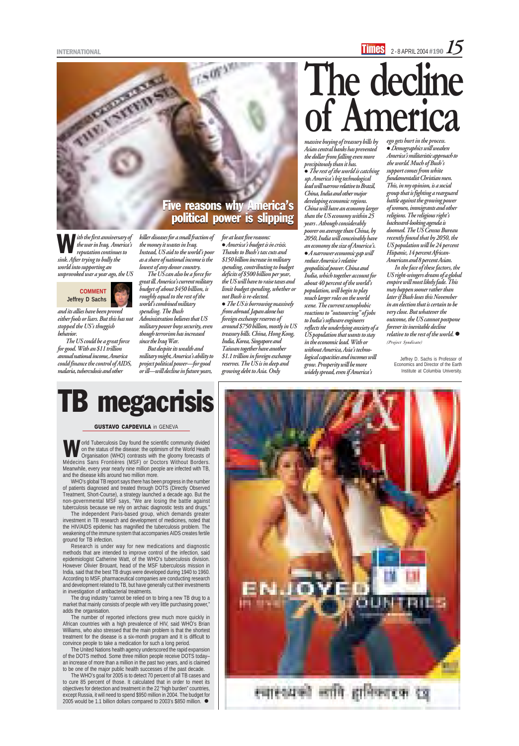### INTERNATIONAL  $\overline{\phantom{a}}$  2 - 8 April 2004 #190  $\overline{\phantom{a}}$   $\overline{\phantom{a}}$

and its allies have been proved either fools or liars. But this has not stopped the US's thuggish behavior.

The US could be a great force for good. With an \$11 trillion annual national income, America could finance the control of AIDS, malaria, tuberculosis and other

# **The decline of America**

killer diseases for a small fraction of the money it wastes in Iraq. Instead, US aid to the world's poor as a share of national income is the lowest of any donor country.

The US can also be a force for great ill. America's current military budget of about \$450 billion, is roughly equal to the rest of the world's combined military spending. The Bush Administration believes that US military power buys security, even though terrorism has increased since the Iraq War.

• The US is borrowing massively from abroad. Japan alone has foreign exchange reserves of around \$750 billion, mostly in US treasury bills. China, Hong Kong, India, Korea, Singapore and Taiwan together have another \$1.1 trillion in foreign exchange reserves. The US is in deep and growing debt to Asia. Only

But despite its wealth and military might, America's ability to project political power—for good or ill—will decline in future years,

for at least five reasons:  $\bullet$  America's budget is in crisis. Thanks to Bush's tax cuts and \$150 billion increase in military spending, contributing to budget deficits of \$500 billion per year, the US will have to raise taxes and limit budget spending, whether or not Bush is re-elected.

• The rest of the world is catching up. America's big technological lead will narrow relative to Brazil, China, India and other major developing economic regions. China will have an economy larger than the US economy within 25 years . Athough considerably poorer on average than China, by 2050, India will conceivably have an economy the size of America's.  $\bullet$  A narrower economic gap will reduce America's relative geopolitical power. China and India, which together account for about 40 percent of the world's population, will begin to play much larger roles on the world scene. The current xenophobic reactions to "outsourcing" of jobs to India's software engineers reflects the underlying anxiety of a US population that wants to stay in the economic lead. With or without America, Asia's technological capacities and incomes will grow. Prosperity will be more widely spread, even if America's

massive buying of treasury bills by Asian central banks has prevented the dollar from falling even more precipitously than it has.

ego gets hurt in the process. · Demographics will weaken America's militaristic approach to the world. Much of Bush's support comes from white fundamentalist Christian men. This, in my opinion, is a social group that is fighting a rearguard battle against the growing power of women, immigrants and other religions. The religious right's backward-looking agenda is doomed. The US Census Bureau recently found that by 2050, the US population will be 24 percent Hispanic, 14 percent African-American and 8 percent Asian.

The WHO's goal for 2005 is to detect 70 percent of all TB cases and to cure 85 percent of those. It calculated that in order to meet its objectives for detection and treatment in the 22 "high burden" countries, except Russia, it will need to spend \$950 million in 2004. The budget for 2005 would be 1.1 billion dollars compared to 2003's \$850 million.  $\bullet$ 

ith the first anniversary of the war in Iraq, America's reputation continues to sink. After trying to bully the world into supporting an unprovoked war a year ago, the US W

In the face of these factors, the US right-wingers dream of a global empire will most likely fade. This may happen sooner rather than later if Bush loses this November in an election that is certain to be very close. But whatever the outcome, the US cannot postpone forever its inevitable decline relative to the rest of the world.  $\bullet$ (Project Syndicate)

> Jeffrey D. Sachs is Professor of Economics and Director of the Earth Institute at Columbia University.





orld Tuberculosis Day found the scientific community divided on the status of the disease: the optimism of the World Health Organisation (WHO) contrasts with the gloomy forecasts of In the status of the disease: the optimism of the World Health<br>Organisation (WHO) contrasts with the gloomy forecasts of<br>Médecins Sans Frontières (MSF) or Doctors Without Borders. Meanwhile, every year nearly nine million people are infected with TB, and the disease kills around two million more.

WHO's global TB report says there has been progress in the number of patients diagnosed and treated through DOTS (Directly Observed Treatment, Short-Course), a strategy launched a decade ago. But the non-governmental MSF says, "We are losing the battle against tuberculosis because we rely on archaic diagnostic tests and drugs."

The independent Paris-based group, which demands greater



investment in TB research and development of medicines, noted that the HIV/AIDS epidemic has magnified the tuberculosis problem. The weakening of the immune system that accompanies AIDS creates fertile ground for TB infection.

Research is under way for new medications and diagnostic methods that are intended to improve control of the infection, said epidemiologist Catherine Watt, of the WHO's tuberculosis division. However Olivier Brouant, head of the MSF tuberculosis mission in India, said that the best TB drugs were developed during 1940 to 1960. According to MSF, pharmaceutical companies are conducting research and development related to TB, but have generally cut their investments in investigation of antibacterial treatments.

The drug industry "cannot be relied on to bring a new TB drug to a market that mainly consists of people with very little purchasing power." adds the organisation.

The number of reported infections grew much more quickly in African countries with a high prevalence of HIV, said WHO's Brian Williams, who also stressed that the main problem is that the shortest treatment for the disease is a six-month program and It is difficult to convince people to take a medication for such a long period.

The United Nations health agency underscored the rapid expansion of the DOTS method. Some three million people receive DOTS today– an increase of more than a million in the past two years, and is claimed to be one of the major public health successes of the past decade.

## TB megacrisis

#### GUSTAVO CAPDEVILA in GENEVA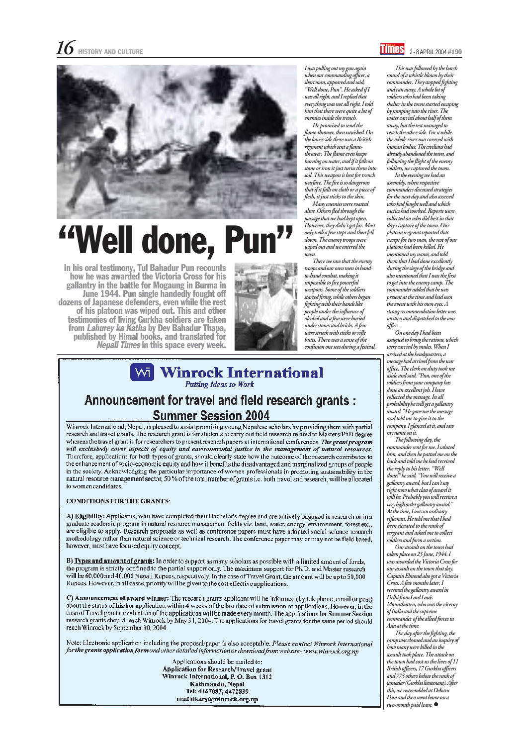I was pulling out my gun again when our commanding officer, a short man, appeared and said, "Well done, Pun". He asked if I was all right, and I replied that everything was not all right. I told him that there were quite a lot of enemies inside the trench.

He promised to send the flame-thrower, then vanished. On the lower side there was a British regiment which sent a flamethrower. The flame even keeps burning on water, and if it falls on stone or iron it just turns them into soil. This weapon is best for trench warfare. The fire is so dangerous that if it falls on cloth or a piece of flesh, it just sticks to the skin.

Many enemies were roasted alive. Others fled through the passage that we had kept open. However, they didn't get far. Most only took a few steps and then fell down. The enemy troops were wiped out and we entered the town.

There we saw that the enemy troops and our own men in handto-hand combat, making it impossible to fire powerful weapons. Some of the soldiers started firing, while others began fighting with their hands like people under the influence of alcohol and a few were buried under stones and bricks. A few were struck with sticks or rifle butts. There was a sense of the confusion one sees during a festival.



## "Well done, Pun"

The following day, the commander sent for me. I saluted him, and then he patted me on the back and told me he had received the reply to his letter. "Well done!" he said, "You will receive a gallantry award, but I can't say right now what class of award it will be. Probably you will receive a very high order gallantry award." At the time, I was an ordinary rifleman. He told me that I had been elevated to the rank of sergeant and asked me to collect soldiers and form a section. Our assault on the town had taken place on 23 June, 1944. I was awarded the Victoria Cross for our assault on the town that day. Captain Elmond also got a Victoria Cross. A few months later, I received the gallantry award in Delhi from Lord Louis Mountbatten, who was the viceroy of India and the supreme commander of the allied forces in Asia at the time. The day after the fighting, the camp was cleaned and an inquiry of how many were killed in the assault took place. The attack on the town had cost us the lives of 11 British officers, 17 Gurkha officers and 773 others below the rank of jamadar (Gurkha lieutenant). After this, we reassembled at Dehara Dun and then went home on a two-month paid leave.  $\bullet$ 

#### **Windows** International Putting Ideas to Work

#### Announcement for travel and field research grants : **Summer Session 2004**

Winrock International, Nepal, is pleased to assist promising young Nepalese scholars by providing them with partial research and travel grants. The research grant is for students to carry out field research related to Masters/PhD degree whereas the travel grant is for researchers to present research papers at international conferences. The grant program will exclusively cover aspects of equity and environmental justice in the management of natural resources. Therefore, applications for both types of grants, should clearly state how the outcome of the research contributes to the enhancement of socio-economic equity and how it benefits the disadvantaged and marginalized groups of people in the society. Acknowledging the particular importance of women professionals in promoting sustainability in the natural resource management sector, 50 % of the total number of grants i.e. both travel and research, will be allocated to women candidates.

#### **CONDITIONS FOR THE GRANTS:**

A) Eligibility: Applicants, who have completed their Bachelor's degree and are actively engaged in research or in a graduate academic program in natural resource management fields viz. land, water, energy, environment, forest etc., are eligible to apply. Research proposals as well as conference papers must have adopted social science research mothodology rather than natural science or technical research. The conference paper may or may not be field based, however, must have focused equity concept.

B) Types and amount of grants: In order to support as many scholars as possible with a limited amount of funds, the program is strictly confined to the partial support only. The maximum support for Ph.D. and Master research will be 60,000 and 40,000 Nepali Rupees, respectively. In the case of Travel Grant, the amount will be up to 50,000 Rupees. However, in all cases, priority will be given to the cost effective applications.

C) **Announcement of award** winner: The research grants applicant will be informed (by telephone, email or post) about the status of his/her application within 4 weeks of the last date of submission of applications. However, in the case of Travel grants, evaluation of the applications will be made every month. The applications for Summer Session research grants should reach Winrock by May 31, 2004. The applications for travel grants for the same period should reach Winrock by September 30, 2004.

Note: Electronic application including the proposal/paper is also acceptable. Please contact Winrock International for the grants application form and other detailed information or download from website - www.winrock.org.np

> Applications should be mailed to: Application for Research/Travel grant Winrock International, P. O. Box 1312 Kathmandu, Nepal Tel: 4467087, 4472839 madhikary@winrock.org.np

This was followed by the harsh sound of a whistle blown by their commander. They stopped fighting and ran away. A whole lot of soldiers who had been taking shelter in the town started escaping by jumping into the river. The water carried about half of them away, but the rest managed to reach the other side. For a while the whole river was covered with human bodies. The civilians had already abandoned the town, and following the flight of the enemy soldiers, we captured the town.

In the evening we had an assembly, when respective commanders discussed strategies for the next day and also assessed who had fought well and which tactics had worked. Reports were collected on who did best in that day's capture of the town. Our platoon sergeant reported that except for two men, the rest of our platoon had been killed. He mentioned my name, and told them that I had done excellently during the siege of the bridge and also mentioned that I was the first to get into the enemy camp. The commander added that he was present at the time and had seen the event with his own eyes. A strong recommendation letter was written and dispatched to the war office.

On one day I had been assigned to bring the rations, which were carried by mules. When I arrived at the headquarters, a message had arrived from the war office. The clerk on duty took me aside and said, "Pun, one of the soldiers from your company has done an excellent job. I have collected the message. In all probability he will get a gallantry award." He gave me the message and told me to give it to the company. I glanced at it, and saw my name on it.

In his oral testimony, Tul Bahadur Pun recounts how he was awarded the Victoria Cross for his gallantry in the battle for Mogaung in Burma in June 1944. Pun single handedly fought off dozens of Japanese defenders, even while the rest of his platoon was wiped out. This and other testimonies of living Gurkha soldiers are taken<br>from *Lahurey ka Katha* by Dev Bahadur Thapa, published by Himal books, and translated for Nepali Times in this space every week.

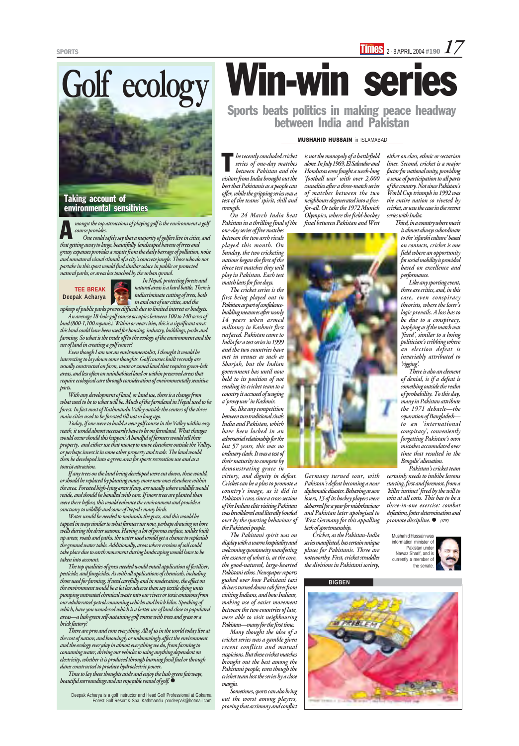# **BIGBEN**

On 24 March India beat Pakistan in a thrilling final of the

one-day series of five matches between the two arch rivals played this month. On Sunday, the two cricketing nations began the first of the three test matches they will play in Pakistan. Each test match lasts for five days.

The cricket series is the first being played out in Pakistan as part of confidencebuilding measures after nearly 14 years when armed militancy in Kashmir first surfaced. Pakistan came to India for a test series in 1999 and the two countries have met in venues as such as Sharjah, but the Indian government has until now held to its position of not sending its cricket team to a country it accused of waging a 'proxy war' in Kashmir.

So, like any competition between two traditional rivals India and Pakistan, which have been locked in an adversarial relationship for the last 57 years, this was no ordinary clash. It was a test of their maturity to compete by demonstrating grace in

victory, and dignity in defeat. Cricket can be a plus to promote a country's image, as it did in Pakistan's case, since a cross-section of the Indian elite visiting Pakistan was bewildered and literally bowled

over by the sporting behaviour of the Pakistani people.

West Germany for this appalling lack of sportsmanship.

The Pakistani spirit was on display with a warm hospitality and welcoming spontaneity manifesting the essence of what is, at the core, the good-natured, large-hearted Pakistani ethos. Newspaper reports gushed over how Pakistani taxi drivers turned down cab fares from visiting Indians, and how Indians, making use of easier movement between the two countries of late, were able to visit neighbouring Pakistan—many for the first time.

Many thought the idea of a cricket series was a gamble given recent conflicts and mutual suspicions. But these cricket matches brought out the best among the Pakistani people, even though the cricket team lost the series by a close margin.

Sometimes, sports can also bring out the worst among players, proving that acrimony and conflict

#### MUSHAHID HUSSAIN in ISLAMABAD

Sports beats politics in making peace headway between India and Pakistan

A mongst the top attractions of playing golf is the environment a golf course provides.

is not the monopoly of a battlefield alone. In July 1969, El Salvador and Honduras even fought a week-long 'football war' with over 2,000 casualties after a three-match series of matches between the two neighbours degenerated into a freefor-all. Or take the 1972 Munich Olympics, where the field-hockey final between Pakistan and West



Germany turned sour, with Pakistan's defeat becoming a near diplomatic disaster. Behaving as sore losers, 13 of its hockey players were debarred for a year for misbehaviour and Pakistan later apologised to

Cricket, as the Pakistan-India series manifested, has certain unique pluses for Pakistanis. Three are noteworthy. First, cricket straddles the divisions in Pakistani society,

promote discipline.  $\bullet$  (IPS)

either on class, ethnic or sectarian lines. Second, cricket is a major factor for national unity, providing a sense of participation to all parts of the country. Not since Pakistan's World Cup triumph in 1992 was the entire nation so riveted by cricket, as was the case in the recent series with India.

Third, in a country where merit is almost always subordinate to the 'sifarshi culture' based on contacts, cricket is one field where an opportunity for social mobility is provided based on excellence and performance.

Like any sporting event, there are critics, and, in this case, even conspiracy theorists, where the loser's logic prevails. A loss has to be due to a conspiracy, implying as if the match was 'fixed', similar to a losing politician's cribbing where an election defeat is invariably attributed to 'rigging'.

There is also an element of denial, is if a defeat is something outside the realm of probability. To this day, many in Pakistan attribute the 1971 debacle—the separation of Bangladesh to an 'international conspiracy', conveniently forgetting Pakistan's own mistakes accumulated over time that resulted in the Bengalis' alienation.

Time to lay these thoughts aside and enjoy the lush green fairways, beautiful surroundings and an enjoyable round of golf.  $\bullet$ 

Pakistan's cricket team certainly needs to imbibe lessons starting, first and foremost, from a 'killer instinct' fired by the will to win at all costs. This has to be a three-in-one exercise: combat defeatism, foster determination and

he recently concluded cricket series of one-day matches between Pakistan and the visitors from India brought out the best that Pakistanis as a people can offer, while the gripping series was a test of the teams' spirit, skill and strength. T

> Mushahid Hussain was information minister of Pakistan under Nawaz Sharif, and is currently a member of the senate.



One could safely say that a majority of golfers live in cities, and that getting away to large, beautifully landscaped havens of trees and grassy expanses provides a respite from the daily barrage of pollution, noise and unnatural visual stimuli of a city's concrete jungle. Those who do not partake in this sport would find similar solace in public or protected natural parks, or areas less touched by the urban sprawl.

In Nepal, protecting forests and natural areas is a hard battle. There is indiscriminate cutting of trees, both in and out of our cities, and the

upkeep of public parks proves difficult due to limited interest or budgets.

An average 18-hole golf course occupies between 100 to 140 acres of land (800-1,100 ropanis). Within or near cities, this is a significant area: this land could have been used for housing, industry, buildings, parks and farming. So what is the trade off to the ecology of the environment and the use of land in creating a golf course?

# Win-win series **Golf ecology**

Even though I am not an environmentalist, I thought it would be interesting to lay down some thoughts. Golf courses built recently are usually constructed on farm, waste or zoned land that requires green-belt areas, and less often on uninhabited land or within preserved areas that require ecological care through consideration of environmentally sensitive parts.

With any development of land, or land use, there is a change from what used to be to what will be. Much of the farmland in Nepal used to be forest. In fact most of Kathmandu Valley outside the centers of the three main cities used to be forested till not so long ago.

Today, if one were to build a new golf course in the Valley within easy reach, it would almost necessarily have to be on farmland. What changes would occur should this happen? A handful of farmers would sell their property, and either use that money to move elsewhere outside the Valley, or perhaps invest it in some other property and trade. The land would then be developed into a green area for sports recreation use and as a tourist attraction.

If any trees on the land being developed were cut down, these would, or should be replaced by planting many more new ones elsewhere within the area. Forested high-lying areas if any, are usually where wildlife would reside, and should be handled with care. If more trees are planted than were there before, this would enhance the environment and provide a sanctuary to wildlife and some of Nepal's many birds. Water would be needed to maintain the grass, and this would be tapped in ways similar to what farmers use now, perhaps drawing on bore wells during the drier seasons. Having a lot of porous surface, unlike built up areas, roads and paths, the water used would get a chance to replenish the ground water table. Additionally, areas where erosion of soil could take place due to earth movement during landscaping would have to be taken into account. The top qualities of grass needed would entail application of fertiliser, pesticide, and fungicides. As with all applications of chemicals, including those used for farming, if used carefully and in moderation, the effect on the environment would be a lot less adverse than say textile dying units pumping untreated chemical waste into our rivers or toxic emissions from our adulterated-petrol consuming vehicles and brick kilns. Speaking of which, have you wondered which is a better use of land close to populated areas—a lush green self-sustaining golf course with trees and grass or a brick factory? There are pros and cons everything. All of us in the world today live at the cost of nature, and knowingly or unknowingly affect the environment and the ecology everyday in almost everything we do, from farming to consuming water, driving our vehicles to using anything dependent on electricity, whether it is produced through burning fossil fuel or through dams constructed to produce hydroelectric power.

Deepak Acharya is a golf instructor and Head Golf Professional at Gokarna Forest Golf Resort & Spa, Kathmandu prodeepak@hotmail.com





#### Taking account of Taking account ofenvironmental sensitivies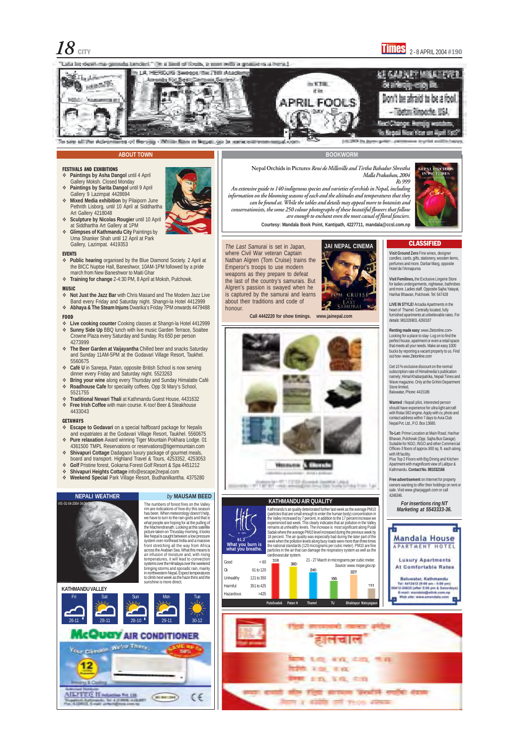$\underline{18}$  city  $\overline{1}$  (Mes)  $_{\mathrm{2\text{-}8}$  april 2004 #190

"This is locally of focuse, in more within a studied of a home." sta lat desituna gesaala tanderi.



#### **ABOUT TOWN**

#### FESTIVALS AND EXHIBITIONS

- **Paintings by Asha Dangol** until 4 April Gallery Moksh. Closed Monday
- **Paintings by Sarita Dangol** until 9 April Gallery 9 Lazimpat 4428694
- **Mixed Media exhibition** by Pilaiporn June Pethrith Lisborg, until 10 April at Siddhartha Art Gallery 4218048
- **Sculpture by Nicolas Rougier** until 10 April at Siddhartha Art Gallery at 1PM
- **Glimpses of Kathmandu City** Paintings by Uma Shanker Shah until 12 April at Park Gallery, Lazimpat. 4419353

#### EVENTS

- **Public hearing** organised by the Blue Diamond Society. 2 April at the BICC Nuptse Hall, Baneshwor, 10AM-1PM followed by a pride march from New Baneshwor to Maiti Ghar
- **Training for change** 2-4:30 PM, 8 April at Moksh, Pulchowk.

#### **MUSIC**

- **Not Just the Jazz Bar** with Chris Masand and The Modern Jazz Live Band every Friday and Saturday night. Shangri-la Hotel 4412999
- **Abhaya & The Steam Injuns** Dwarika's Friday 7PM onwards 4479488

#### FOOD

- **Live cooking counter** Cooking classes at Shangri-la Hotel 4412999
- **Sunny Side Up** BBQ lunch with live music Garden Terrace, Soaltee
- Crowne Plaza every Saturday and Sunday. Rs 650 per person 4273999
- **The Beer Garden at Vaijayantha** Chilled beer and snacks Saturday and Sunday 11AM-5PM at the Godavari Village Resort, Taukhel. 5560675
- **Café U** in Sanepa, Patan, opposite British School is now serving dinner every Friday and Saturday night. 5523263
- **Bring your wine** along every Thursday and Sunday Himalatte Café
- **Roadhouse Cafe** for speciality coffees. Opp St Mary's School, 5521755
- **Traditional Newari Thali** at Kathmandu Guest House, 4431632
- **Free Irish Coffee** with main course. K-too! Beer & Steakhouse
- 4433043

#### **GETAWAYS**

VIS -01-04-2004 04:00 U

has been. When meteorology doesn't help we have to turn to the rain gods and that is what people are hoping for at the pulling of the Machendranath. Looking at this satellite cture taken on Thrusday morning, it looks like Nepal is caught between a low pressure system over northeast India and a massive front stretching all the way from Africa across the Arabian Sea. What this means is an infusion of moisture and, with rising temperatures, it will lead to convection systems over the Himalaya over the weekend bringing storms and sporadic rain, mainly in northwestern Nepal. Expect temperatures to climb next week as the haze thins and the sunshine is more direct.

**LIVE IN STYLE!** Arcadia Apartments in the heart of Thamel. Centrally located, fully furnished apartments at unbelievable rates. For details: 981026903, 4260187

- **Escape to Godavari** on a special halfboard package for Nepalis and expatriates at the Godavari Village Resort, Taukhel. 5560675
- **Pure relaxation** Award winning Tiger Mountain Pokhara Lodge. 01 4361500 TMPL Reservations or reservations@tigermountain.com
- **Shivapuri Cottage** Dadagaon luxury package of gourmet meals, board and transport. Highland Travel & Tours, 4253352, 4253053
- **Golf** Pristine forest, Gokarna Forest Golf Resort & Spa 4451212
- **Shivapuri Heights Cottage** info@escape2nepal.com
- **Weekend Special** Park Village Resort, Budhanilkantha. 4375280

**NEPALI WEATHER** by MAUSAM BEED



- - - - Thomas one of Chineses

and the project da Iran Lar **To-Let:** Prime Location at Main Road, Harihar Bhavan, Pulchowk (Opp. Sajha Bus Garage). Suitable for NGO, INGO and other Commercial Offices-3 floors of approx.900 sq. ft. each along with lift facility.

#### **KATHMANDU VALLEY**

The numbers of forest fires on the Valley rim are indications of how dry this season

#### **BOOKWORM**

**Courtesy: Mandala Book Point, Kantipath, 4227711, mandala@ccsl.com.np**

**Call 4442220 for show timings. www.jainepal.com**









**NEPAL ORCHIDS** Rs 999





#### **Visit Ground Zero** Fine wines, designer

candles, cards, gifts, stationery, wooden items, perfumes and more. Darbar Marg, opposite Hotel de l'Annapurna

**CLASSIFIED** 

**Visit Femilines,** the Exclusive Lingerie Store for ladies undergarments, nightwear, bathrobes and more. Ladies staff. Opposite Sajha Yatayat, Harihar Bhawan, Pulchowk. Tel: 547428

**Renting made easy**: www.2letonline.com**-**Looking for a place to stay- Log on to find the perfect house, apartment or even a retail space that meets all your needs. Make an easy 1000 bucks by reporting a vacant property to us. Find out how- www.2letonline.com

Get 10 % exclusive discount on the normal subscription rate of Himalmedia's publication namely; Himal Khabarpatrika, Nepali Times and Wave magazine. Only at the Grihini Department Store limited, Baluwatar, Phone: 4415186

**Wanted :** Nepali pilot, interested person should have experience for ultra light aircraft with Rotax 582 engine. Apply with cv, photo and contact address within 7 days to Avia Club Nepal Pvt. Ltd., P.O. Box 13680.

Plus Top 2 Floors with Big Dining and Kitchen Apartment with magnificent view of Lalitpur & Kathmandu. **Contact No. 981032166**

**Free advertisement** on Internet for property owners wanting to offer their holdings on rent or sale. Visit www.gharjaggah.com or call 4246346.

The Last Samurai is set in Japan, where Civil War veteran Captain Nathan Algren (Tom Cruise) trains the Emperor's troops to use modern weapons as they prepare to defeat the last of the country's samurais. But Algren's passion is swayed when he is captured by the samurai and learns about their traditions and code of honour.

Kathmandu's air quality deteriorated further last week as the average PM10 articles that are small enough to enter the human bod the Valley increased by 7 percent, in addition to the 17 percent increase we experienced last week. This clearly indicates that air pollution in the Valley remains at unhealthy levels. The increase is most significant along Putali Sadak where the average PM10 level increased during the previous week by 18 percent. The air quality was especially bad during the later part of the week when the pollution levels along busy roads were more than three times the national standards (120 micrograms per cubic meter). PM10 are fine particles in the air that can damage the respiratory system as well as the cardiovascular system. **What you burn is what you breathe.**



#### **McQuay AIR CONDITIONER** We've Them, Your primace



**91.2**







#### **KATHMANDU AIR QUALITY**



#### **For insertions ring NT Marketing at 5543333-36.**

**Nepal Orchids in Pictures** René de Milleville and Tirtha Bahadur Shrestha Malla Prakashan, 2004

An extensive guide to 140 indigenous species and varieties of orchids in Nepal, including information on the blooming seasons of each and the altitudes and temperatures that they can be found at. While the tables and details may appeal more to botanists and conservationists, the some 250 colour photographs of these beautiful flowers that follow are enough to enchant even the most casual of floral fanciers.